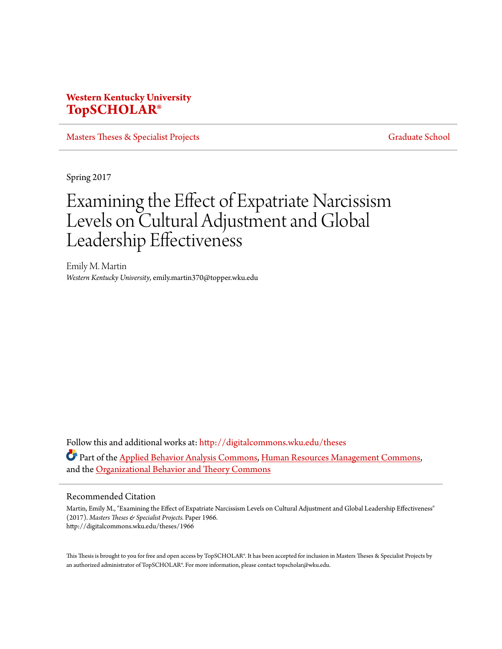# **Western Kentucky University [TopSCHOLAR®](http://digitalcommons.wku.edu?utm_source=digitalcommons.wku.edu%2Ftheses%2F1966&utm_medium=PDF&utm_campaign=PDFCoverPages)**

[Masters Theses & Specialist Projects](http://digitalcommons.wku.edu/theses?utm_source=digitalcommons.wku.edu%2Ftheses%2F1966&utm_medium=PDF&utm_campaign=PDFCoverPages) [Graduate School](http://digitalcommons.wku.edu/Graduate?utm_source=digitalcommons.wku.edu%2Ftheses%2F1966&utm_medium=PDF&utm_campaign=PDFCoverPages)

Spring 2017

# Examining the Effect of Expatriate Narcissism Levels on Cultural Adjustment and Global Leadership Effectiveness

Emily M. Martin *Western Kentucky University*, emily.martin370@topper.wku.edu

Follow this and additional works at: [http://digitalcommons.wku.edu/theses](http://digitalcommons.wku.edu/theses?utm_source=digitalcommons.wku.edu%2Ftheses%2F1966&utm_medium=PDF&utm_campaign=PDFCoverPages) Part of the [Applied Behavior Analysis Commons](http://network.bepress.com/hgg/discipline/1235?utm_source=digitalcommons.wku.edu%2Ftheses%2F1966&utm_medium=PDF&utm_campaign=PDFCoverPages), [Human Resources Management Commons,](http://network.bepress.com/hgg/discipline/633?utm_source=digitalcommons.wku.edu%2Ftheses%2F1966&utm_medium=PDF&utm_campaign=PDFCoverPages) and the [Organizational Behavior and Theory Commons](http://network.bepress.com/hgg/discipline/639?utm_source=digitalcommons.wku.edu%2Ftheses%2F1966&utm_medium=PDF&utm_campaign=PDFCoverPages)

#### Recommended Citation

Martin, Emily M., "Examining the Effect of Expatriate Narcissism Levels on Cultural Adjustment and Global Leadership Effectiveness" (2017). *Masters Theses & Specialist Projects.* Paper 1966. http://digitalcommons.wku.edu/theses/1966

This Thesis is brought to you for free and open access by TopSCHOLAR®. It has been accepted for inclusion in Masters Theses & Specialist Projects by an authorized administrator of TopSCHOLAR®. For more information, please contact topscholar@wku.edu.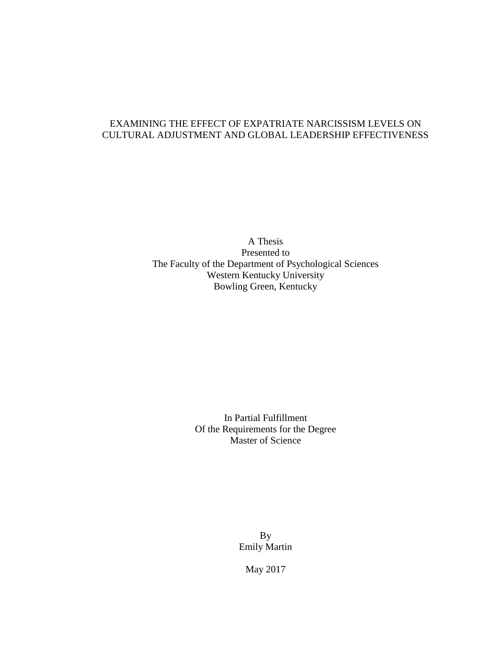# EXAMINING THE EFFECT OF EXPATRIATE NARCISSISM LEVELS ON CULTURAL ADJUSTMENT AND GLOBAL LEADERSHIP EFFECTIVENESS

A Thesis Presented to The Faculty of the Department of Psychological Sciences Western Kentucky University Bowling Green, Kentucky

> In Partial Fulfillment Of the Requirements for the Degree Master of Science

> > By Emily Martin

> > > May 2017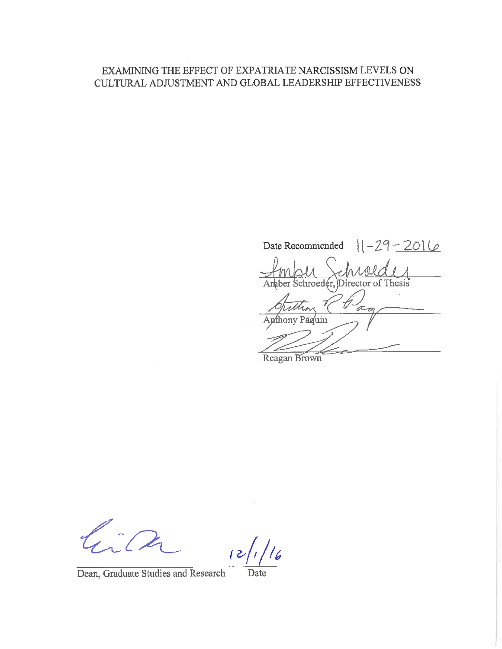# EXAMINING THE EFFECT OF EXPATRIATE NARCISSISM LEVELS ON CULTURAL ADJUSTMENT AND GLOBAL LEADERSHIP EFFECTIVENESS

 $11 - 29 - 2016$ Date Recommended Amber Schroeder, Director of Thesis τ an hony Páquin

Reagan Brown

 $\frac{1}{6}$ 

Dean, Graduate Studies and Research

Date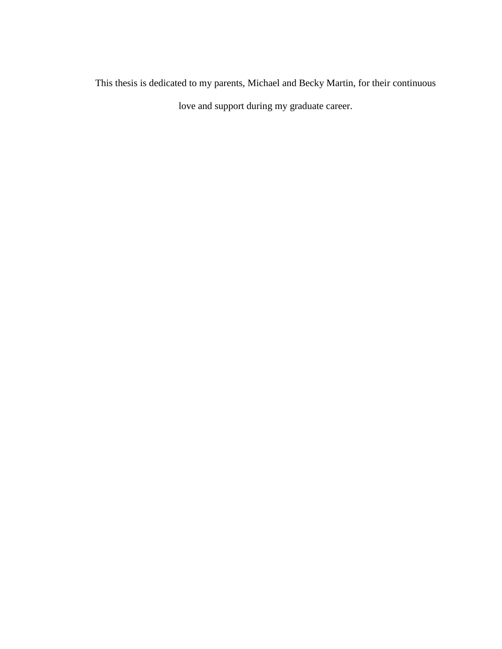This thesis is dedicated to my parents, Michael and Becky Martin, for their continuous love and support during my graduate career.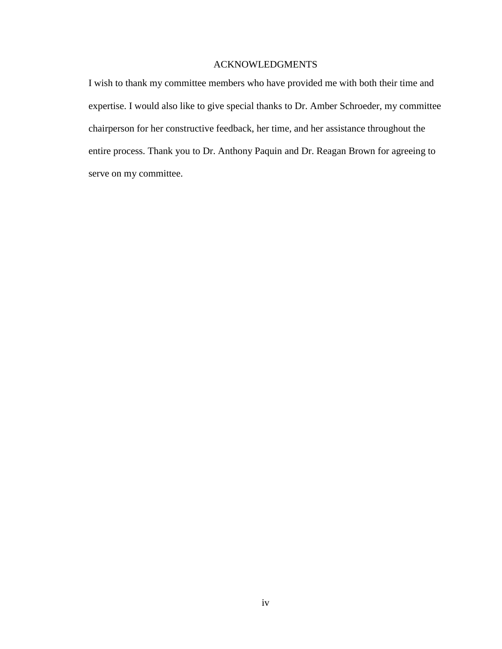### ACKNOWLEDGMENTS

I wish to thank my committee members who have provided me with both their time and expertise. I would also like to give special thanks to Dr. Amber Schroeder, my committee chairperson for her constructive feedback, her time, and her assistance throughout the entire process. Thank you to Dr. Anthony Paquin and Dr. Reagan Brown for agreeing to serve on my committee.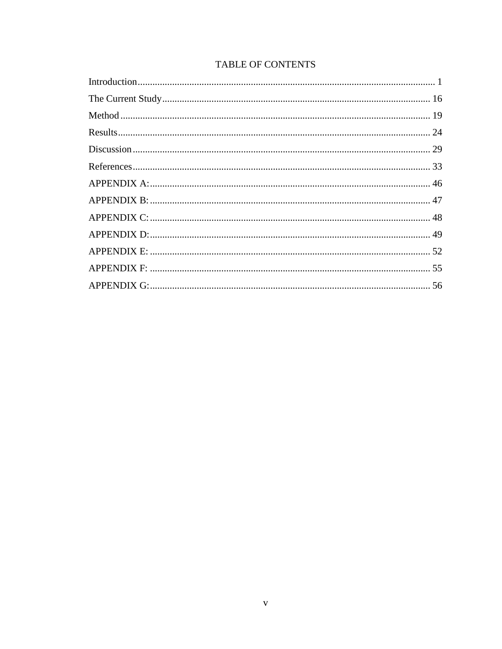# **TABLE OF CONTENTS**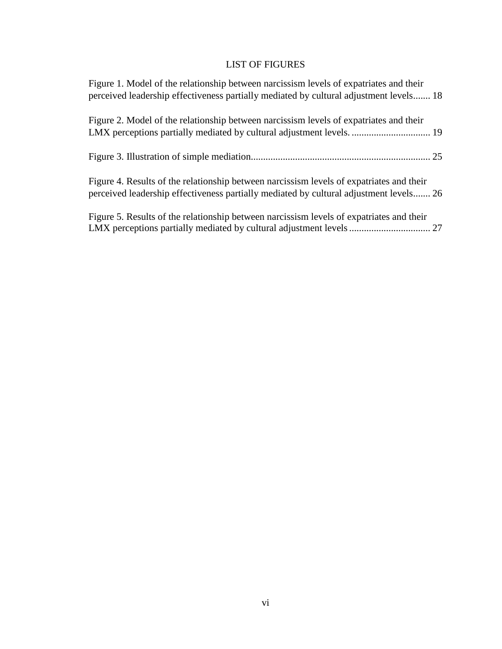# LIST OF FIGURES

| Figure 1. Model of the relationship between narcissism levels of expatriates and their<br>perceived leadership effectiveness partially mediated by cultural adjustment levels 18   |
|------------------------------------------------------------------------------------------------------------------------------------------------------------------------------------|
| Figure 2. Model of the relationship between narcissism levels of expatriates and their<br>LMX perceptions partially mediated by cultural adjustment levels.  19                    |
|                                                                                                                                                                                    |
| Figure 4. Results of the relationship between narcissism levels of expatriates and their<br>perceived leadership effectiveness partially mediated by cultural adjustment levels 26 |
| Figure 5. Results of the relationship between narcissism levels of expatriates and their                                                                                           |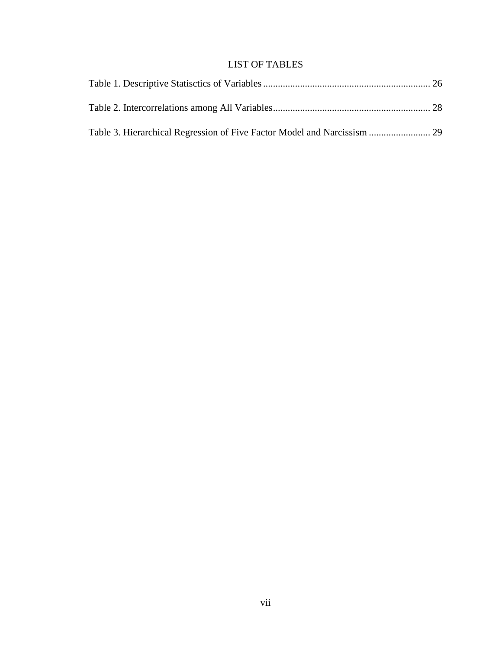# LIST OF TABLES

| Table 3. Hierarchical Regression of Five Factor Model and Narcissism |  |
|----------------------------------------------------------------------|--|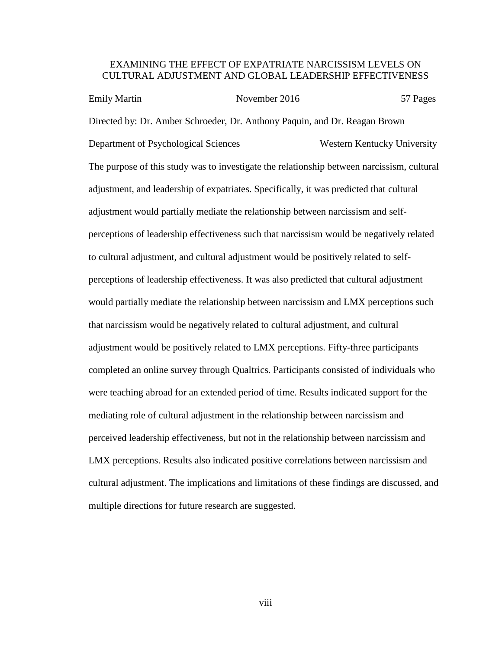# EXAMINING THE EFFECT OF EXPATRIATE NARCISSISM LEVELS ON CULTURAL ADJUSTMENT AND GLOBAL LEADERSHIP EFFECTIVENESS

Emily Martin November 2016 57 Pages Directed by: Dr. Amber Schroeder, Dr. Anthony Paquin, and Dr. Reagan Brown Department of Psychological Sciences Western Kentucky University The purpose of this study was to investigate the relationship between narcissism, cultural adjustment, and leadership of expatriates. Specifically, it was predicted that cultural adjustment would partially mediate the relationship between narcissism and selfperceptions of leadership effectiveness such that narcissism would be negatively related to cultural adjustment, and cultural adjustment would be positively related to selfperceptions of leadership effectiveness. It was also predicted that cultural adjustment would partially mediate the relationship between narcissism and LMX perceptions such that narcissism would be negatively related to cultural adjustment, and cultural adjustment would be positively related to LMX perceptions. Fifty-three participants completed an online survey through Qualtrics. Participants consisted of individuals who were teaching abroad for an extended period of time. Results indicated support for the mediating role of cultural adjustment in the relationship between narcissism and perceived leadership effectiveness, but not in the relationship between narcissism and LMX perceptions. Results also indicated positive correlations between narcissism and cultural adjustment. The implications and limitations of these findings are discussed, and multiple directions for future research are suggested.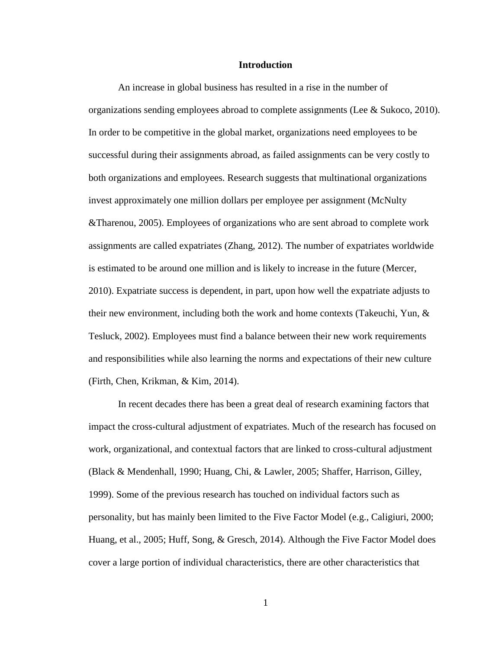#### **Introduction**

An increase in global business has resulted in a rise in the number of organizations sending employees abroad to complete assignments (Lee & Sukoco, 2010). In order to be competitive in the global market, organizations need employees to be successful during their assignments abroad, as failed assignments can be very costly to both organizations and employees. Research suggests that multinational organizations invest approximately one million dollars per employee per assignment (McNulty &Tharenou, 2005). Employees of organizations who are sent abroad to complete work assignments are called expatriates (Zhang, 2012). The number of expatriates worldwide is estimated to be around one million and is likely to increase in the future (Mercer, 2010). Expatriate success is dependent, in part, upon how well the expatriate adjusts to their new environment, including both the work and home contexts (Takeuchi, Yun, & Tesluck, 2002). Employees must find a balance between their new work requirements and responsibilities while also learning the norms and expectations of their new culture (Firth, Chen, Krikman, & Kim, 2014).

In recent decades there has been a great deal of research examining factors that impact the cross-cultural adjustment of expatriates. Much of the research has focused on work, organizational, and contextual factors that are linked to cross-cultural adjustment (Black & Mendenhall, 1990; Huang, Chi, & Lawler, 2005; Shaffer, Harrison, Gilley, 1999). Some of the previous research has touched on individual factors such as personality, but has mainly been limited to the Five Factor Model (e.g., Caligiuri, 2000; Huang, et al., 2005; Huff, Song, & Gresch, 2014). Although the Five Factor Model does cover a large portion of individual characteristics, there are other characteristics that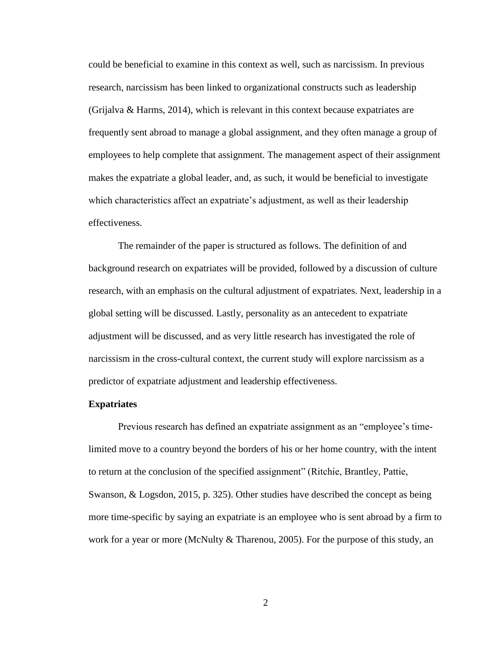could be beneficial to examine in this context as well, such as narcissism. In previous research, narcissism has been linked to organizational constructs such as leadership (Grijalva & Harms, 2014), which is relevant in this context because expatriates are frequently sent abroad to manage a global assignment, and they often manage a group of employees to help complete that assignment. The management aspect of their assignment makes the expatriate a global leader, and, as such, it would be beneficial to investigate which characteristics affect an expatriate's adjustment, as well as their leadership effectiveness.

The remainder of the paper is structured as follows. The definition of and background research on expatriates will be provided, followed by a discussion of culture research, with an emphasis on the cultural adjustment of expatriates. Next, leadership in a global setting will be discussed. Lastly, personality as an antecedent to expatriate adjustment will be discussed, and as very little research has investigated the role of narcissism in the cross-cultural context, the current study will explore narcissism as a predictor of expatriate adjustment and leadership effectiveness.

#### **Expatriates**

Previous research has defined an expatriate assignment as an "employee's timelimited move to a country beyond the borders of his or her home country, with the intent to return at the conclusion of the specified assignment" (Ritchie, Brantley, Pattie, Swanson, & Logsdon, 2015, p. 325). Other studies have described the concept as being more time-specific by saying an expatriate is an employee who is sent abroad by a firm to work for a year or more (McNulty  $&$  Tharenou, 2005). For the purpose of this study, an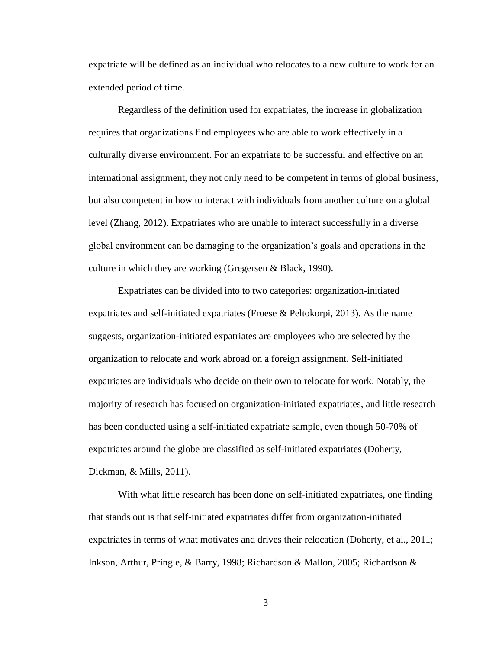expatriate will be defined as an individual who relocates to a new culture to work for an extended period of time.

Regardless of the definition used for expatriates, the increase in globalization requires that organizations find employees who are able to work effectively in a culturally diverse environment. For an expatriate to be successful and effective on an international assignment, they not only need to be competent in terms of global business, but also competent in how to interact with individuals from another culture on a global level (Zhang, 2012). Expatriates who are unable to interact successfully in a diverse global environment can be damaging to the organization's goals and operations in the culture in which they are working (Gregersen & Black, 1990).

Expatriates can be divided into to two categories: organization-initiated expatriates and self-initiated expatriates (Froese  $\&$  Peltokorpi, 2013). As the name suggests, organization-initiated expatriates are employees who are selected by the organization to relocate and work abroad on a foreign assignment. Self-initiated expatriates are individuals who decide on their own to relocate for work. Notably, the majority of research has focused on organization-initiated expatriates, and little research has been conducted using a self-initiated expatriate sample, even though 50-70% of expatriates around the globe are classified as self-initiated expatriates (Doherty, Dickman, & Mills, 2011).

With what little research has been done on self-initiated expatriates, one finding that stands out is that self-initiated expatriates differ from organization-initiated expatriates in terms of what motivates and drives their relocation (Doherty, et al., 2011; Inkson, Arthur, Pringle, & Barry, 1998; Richardson & Mallon, 2005; Richardson &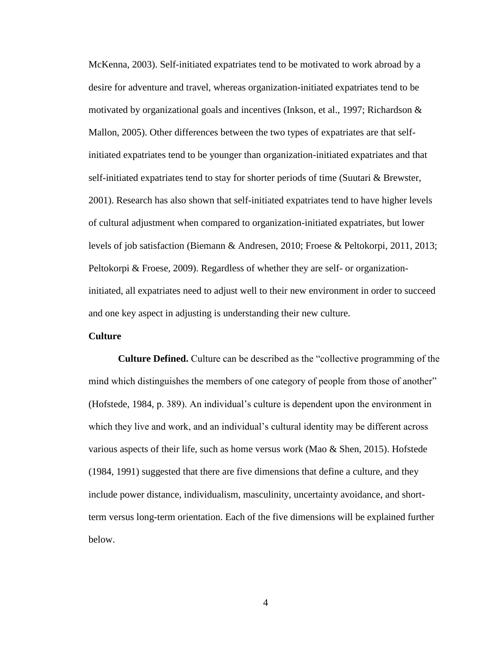McKenna, 2003). Self-initiated expatriates tend to be motivated to work abroad by a desire for adventure and travel, whereas organization-initiated expatriates tend to be motivated by organizational goals and incentives (Inkson, et al., 1997; Richardson & Mallon, 2005). Other differences between the two types of expatriates are that selfinitiated expatriates tend to be younger than organization-initiated expatriates and that self-initiated expatriates tend to stay for shorter periods of time (Suutari & Brewster, 2001). Research has also shown that self-initiated expatriates tend to have higher levels of cultural adjustment when compared to organization-initiated expatriates, but lower levels of job satisfaction (Biemann & Andresen, 2010; Froese & Peltokorpi, 2011, 2013; Peltokorpi & Froese, 2009). Regardless of whether they are self- or organizationinitiated, all expatriates need to adjust well to their new environment in order to succeed and one key aspect in adjusting is understanding their new culture.

### **Culture**

**Culture Defined.** Culture can be described as the "collective programming of the mind which distinguishes the members of one category of people from those of another" (Hofstede, 1984, p. 389). An individual's culture is dependent upon the environment in which they live and work, and an individual's cultural identity may be different across various aspects of their life, such as home versus work (Mao  $\&$  Shen, 2015). Hofstede (1984, 1991) suggested that there are five dimensions that define a culture, and they include power distance, individualism, masculinity, uncertainty avoidance, and shortterm versus long-term orientation. Each of the five dimensions will be explained further below.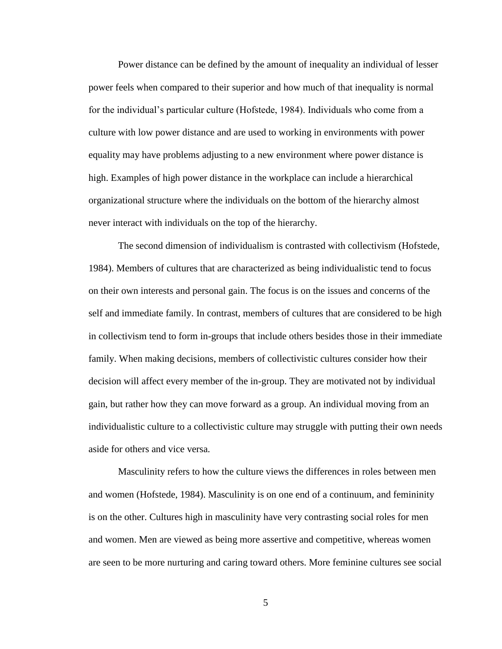Power distance can be defined by the amount of inequality an individual of lesser power feels when compared to their superior and how much of that inequality is normal for the individual's particular culture (Hofstede, 1984). Individuals who come from a culture with low power distance and are used to working in environments with power equality may have problems adjusting to a new environment where power distance is high. Examples of high power distance in the workplace can include a hierarchical organizational structure where the individuals on the bottom of the hierarchy almost never interact with individuals on the top of the hierarchy.

The second dimension of individualism is contrasted with collectivism (Hofstede, 1984). Members of cultures that are characterized as being individualistic tend to focus on their own interests and personal gain. The focus is on the issues and concerns of the self and immediate family. In contrast, members of cultures that are considered to be high in collectivism tend to form in-groups that include others besides those in their immediate family. When making decisions, members of collectivistic cultures consider how their decision will affect every member of the in-group. They are motivated not by individual gain, but rather how they can move forward as a group. An individual moving from an individualistic culture to a collectivistic culture may struggle with putting their own needs aside for others and vice versa.

Masculinity refers to how the culture views the differences in roles between men and women (Hofstede, 1984). Masculinity is on one end of a continuum, and femininity is on the other. Cultures high in masculinity have very contrasting social roles for men and women. Men are viewed as being more assertive and competitive, whereas women are seen to be more nurturing and caring toward others. More feminine cultures see social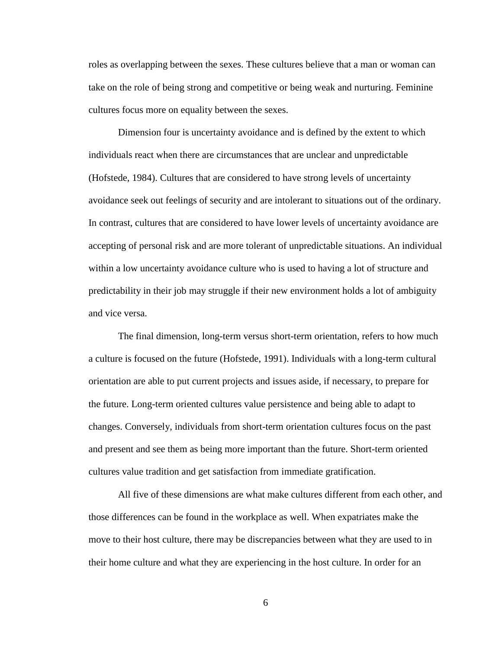roles as overlapping between the sexes. These cultures believe that a man or woman can take on the role of being strong and competitive or being weak and nurturing. Feminine cultures focus more on equality between the sexes.

Dimension four is uncertainty avoidance and is defined by the extent to which individuals react when there are circumstances that are unclear and unpredictable (Hofstede, 1984). Cultures that are considered to have strong levels of uncertainty avoidance seek out feelings of security and are intolerant to situations out of the ordinary. In contrast, cultures that are considered to have lower levels of uncertainty avoidance are accepting of personal risk and are more tolerant of unpredictable situations. An individual within a low uncertainty avoidance culture who is used to having a lot of structure and predictability in their job may struggle if their new environment holds a lot of ambiguity and vice versa.

The final dimension, long-term versus short-term orientation, refers to how much a culture is focused on the future (Hofstede, 1991). Individuals with a long-term cultural orientation are able to put current projects and issues aside, if necessary, to prepare for the future. Long-term oriented cultures value persistence and being able to adapt to changes. Conversely, individuals from short-term orientation cultures focus on the past and present and see them as being more important than the future. Short-term oriented cultures value tradition and get satisfaction from immediate gratification.

All five of these dimensions are what make cultures different from each other, and those differences can be found in the workplace as well. When expatriates make the move to their host culture, there may be discrepancies between what they are used to in their home culture and what they are experiencing in the host culture. In order for an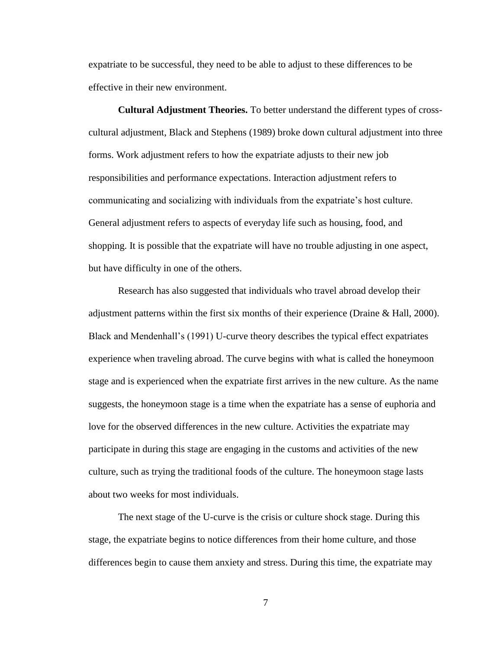expatriate to be successful, they need to be able to adjust to these differences to be effective in their new environment.

**Cultural Adjustment Theories.** To better understand the different types of crosscultural adjustment, Black and Stephens (1989) broke down cultural adjustment into three forms. Work adjustment refers to how the expatriate adjusts to their new job responsibilities and performance expectations. Interaction adjustment refers to communicating and socializing with individuals from the expatriate's host culture. General adjustment refers to aspects of everyday life such as housing, food, and shopping. It is possible that the expatriate will have no trouble adjusting in one aspect, but have difficulty in one of the others.

Research has also suggested that individuals who travel abroad develop their adjustment patterns within the first six months of their experience (Draine & Hall, 2000). Black and Mendenhall's (1991) U-curve theory describes the typical effect expatriates experience when traveling abroad. The curve begins with what is called the honeymoon stage and is experienced when the expatriate first arrives in the new culture. As the name suggests, the honeymoon stage is a time when the expatriate has a sense of euphoria and love for the observed differences in the new culture. Activities the expatriate may participate in during this stage are engaging in the customs and activities of the new culture, such as trying the traditional foods of the culture. The honeymoon stage lasts about two weeks for most individuals.

The next stage of the U-curve is the crisis or culture shock stage. During this stage, the expatriate begins to notice differences from their home culture, and those differences begin to cause them anxiety and stress. During this time, the expatriate may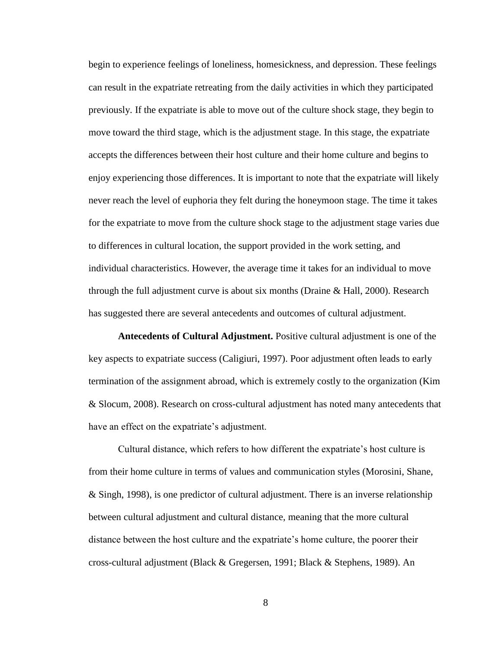begin to experience feelings of loneliness, homesickness, and depression. These feelings can result in the expatriate retreating from the daily activities in which they participated previously. If the expatriate is able to move out of the culture shock stage, they begin to move toward the third stage, which is the adjustment stage. In this stage, the expatriate accepts the differences between their host culture and their home culture and begins to enjoy experiencing those differences. It is important to note that the expatriate will likely never reach the level of euphoria they felt during the honeymoon stage. The time it takes for the expatriate to move from the culture shock stage to the adjustment stage varies due to differences in cultural location, the support provided in the work setting, and individual characteristics. However, the average time it takes for an individual to move through the full adjustment curve is about six months (Draine & Hall, 2000). Research has suggested there are several antecedents and outcomes of cultural adjustment.

**Antecedents of Cultural Adjustment.** Positive cultural adjustment is one of the key aspects to expatriate success (Caligiuri, 1997). Poor adjustment often leads to early termination of the assignment abroad, which is extremely costly to the organization (Kim & Slocum, 2008). Research on cross-cultural adjustment has noted many antecedents that have an effect on the expatriate's adjustment.

Cultural distance, which refers to how different the expatriate's host culture is from their home culture in terms of values and communication styles (Morosini, Shane, & Singh, 1998), is one predictor of cultural adjustment. There is an inverse relationship between cultural adjustment and cultural distance, meaning that the more cultural distance between the host culture and the expatriate's home culture, the poorer their cross-cultural adjustment (Black & Gregersen, 1991; Black & Stephens, 1989). An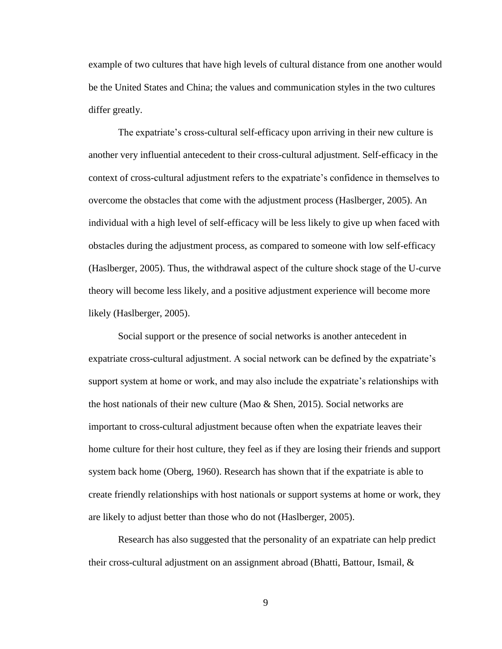example of two cultures that have high levels of cultural distance from one another would be the United States and China; the values and communication styles in the two cultures differ greatly.

The expatriate's cross-cultural self-efficacy upon arriving in their new culture is another very influential antecedent to their cross-cultural adjustment. Self-efficacy in the context of cross-cultural adjustment refers to the expatriate's confidence in themselves to overcome the obstacles that come with the adjustment process (Haslberger, 2005). An individual with a high level of self-efficacy will be less likely to give up when faced with obstacles during the adjustment process, as compared to someone with low self-efficacy (Haslberger, 2005). Thus, the withdrawal aspect of the culture shock stage of the U-curve theory will become less likely, and a positive adjustment experience will become more likely (Haslberger, 2005).

Social support or the presence of social networks is another antecedent in expatriate cross-cultural adjustment. A social network can be defined by the expatriate's support system at home or work, and may also include the expatriate's relationships with the host nationals of their new culture (Mao  $\&$  Shen, 2015). Social networks are important to cross-cultural adjustment because often when the expatriate leaves their home culture for their host culture, they feel as if they are losing their friends and support system back home (Oberg, 1960). Research has shown that if the expatriate is able to create friendly relationships with host nationals or support systems at home or work, they are likely to adjust better than those who do not (Haslberger, 2005).

Research has also suggested that the personality of an expatriate can help predict their cross-cultural adjustment on an assignment abroad (Bhatti, Battour, Ismail, &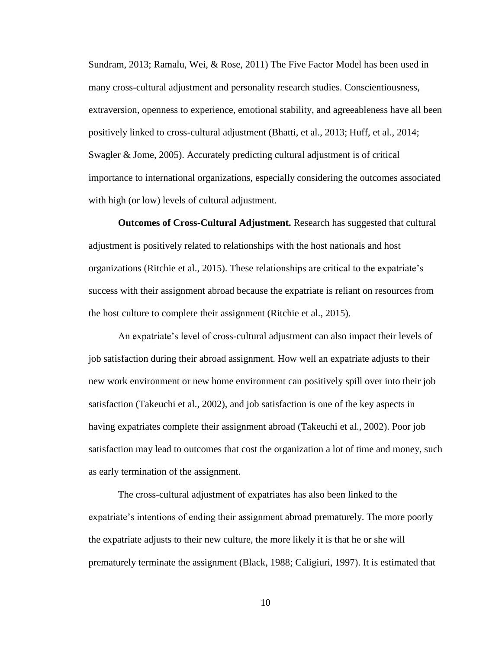Sundram, 2013; Ramalu, Wei, & Rose, 2011) The Five Factor Model has been used in many cross-cultural adjustment and personality research studies. Conscientiousness, extraversion, openness to experience, emotional stability, and agreeableness have all been positively linked to cross-cultural adjustment (Bhatti, et al., 2013; Huff, et al., 2014; Swagler & Jome, 2005). Accurately predicting cultural adjustment is of critical importance to international organizations, especially considering the outcomes associated with high (or low) levels of cultural adjustment.

**Outcomes of Cross-Cultural Adjustment.** Research has suggested that cultural adjustment is positively related to relationships with the host nationals and host organizations (Ritchie et al., 2015). These relationships are critical to the expatriate's success with their assignment abroad because the expatriate is reliant on resources from the host culture to complete their assignment (Ritchie et al., 2015).

An expatriate's level of cross-cultural adjustment can also impact their levels of job satisfaction during their abroad assignment. How well an expatriate adjusts to their new work environment or new home environment can positively spill over into their job satisfaction (Takeuchi et al., 2002), and job satisfaction is one of the key aspects in having expatriates complete their assignment abroad (Takeuchi et al., 2002). Poor job satisfaction may lead to outcomes that cost the organization a lot of time and money, such as early termination of the assignment.

The cross-cultural adjustment of expatriates has also been linked to the expatriate's intentions of ending their assignment abroad prematurely. The more poorly the expatriate adjusts to their new culture, the more likely it is that he or she will prematurely terminate the assignment (Black, 1988; Caligiuri, 1997). It is estimated that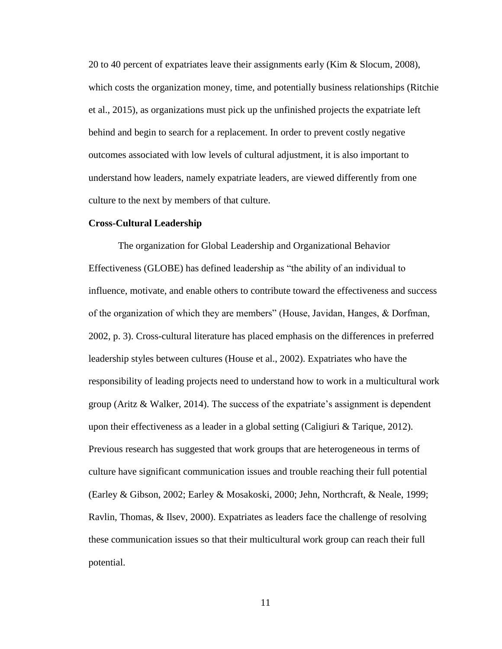20 to 40 percent of expatriates leave their assignments early (Kim & Slocum, 2008), which costs the organization money, time, and potentially business relationships (Ritchie et al., 2015), as organizations must pick up the unfinished projects the expatriate left behind and begin to search for a replacement. In order to prevent costly negative outcomes associated with low levels of cultural adjustment, it is also important to understand how leaders, namely expatriate leaders, are viewed differently from one culture to the next by members of that culture.

#### **Cross-Cultural Leadership**

The organization for Global Leadership and Organizational Behavior Effectiveness (GLOBE) has defined leadership as "the ability of an individual to influence, motivate, and enable others to contribute toward the effectiveness and success of the organization of which they are members" (House, Javidan, Hanges, & Dorfman, 2002, p. 3). Cross-cultural literature has placed emphasis on the differences in preferred leadership styles between cultures (House et al., 2002). Expatriates who have the responsibility of leading projects need to understand how to work in a multicultural work group (Aritz & Walker, 2014). The success of the expatriate's assignment is dependent upon their effectiveness as a leader in a global setting (Caligiuri & Tarique, 2012). Previous research has suggested that work groups that are heterogeneous in terms of culture have significant communication issues and trouble reaching their full potential (Earley & Gibson, 2002; Earley & Mosakoski, 2000; Jehn, Northcraft, & Neale, 1999; Ravlin, Thomas, & Ilsev, 2000). Expatriates as leaders face the challenge of resolving these communication issues so that their multicultural work group can reach their full potential.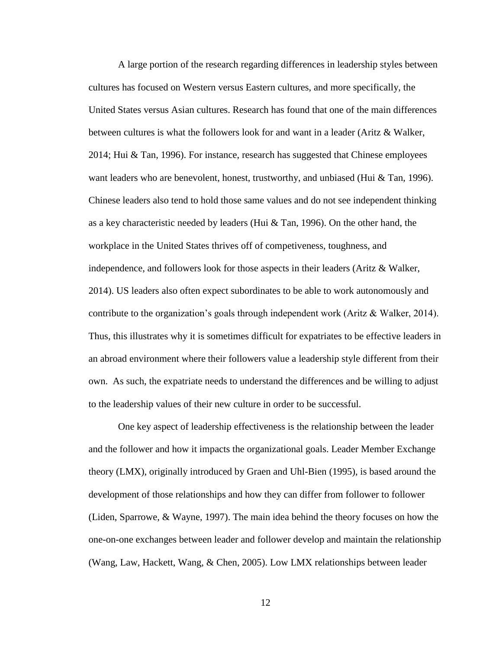A large portion of the research regarding differences in leadership styles between cultures has focused on Western versus Eastern cultures, and more specifically, the United States versus Asian cultures. Research has found that one of the main differences between cultures is what the followers look for and want in a leader (Aritz & Walker, 2014; Hui & Tan, 1996). For instance, research has suggested that Chinese employees want leaders who are benevolent, honest, trustworthy, and unbiased (Hui  $&$  Tan, 1996). Chinese leaders also tend to hold those same values and do not see independent thinking as a key characteristic needed by leaders (Hui  $&$  Tan, 1996). On the other hand, the workplace in the United States thrives off of competiveness, toughness, and independence, and followers look for those aspects in their leaders (Aritz & Walker, 2014). US leaders also often expect subordinates to be able to work autonomously and contribute to the organization's goals through independent work (Aritz & Walker, 2014). Thus, this illustrates why it is sometimes difficult for expatriates to be effective leaders in an abroad environment where their followers value a leadership style different from their own. As such, the expatriate needs to understand the differences and be willing to adjust to the leadership values of their new culture in order to be successful.

One key aspect of leadership effectiveness is the relationship between the leader and the follower and how it impacts the organizational goals. Leader Member Exchange theory (LMX), originally introduced by Graen and Uhl-Bien (1995), is based around the development of those relationships and how they can differ from follower to follower (Liden, Sparrowe, & Wayne, 1997). The main idea behind the theory focuses on how the one-on-one exchanges between leader and follower develop and maintain the relationship (Wang, Law, Hackett, Wang, & Chen, 2005). Low LMX relationships between leader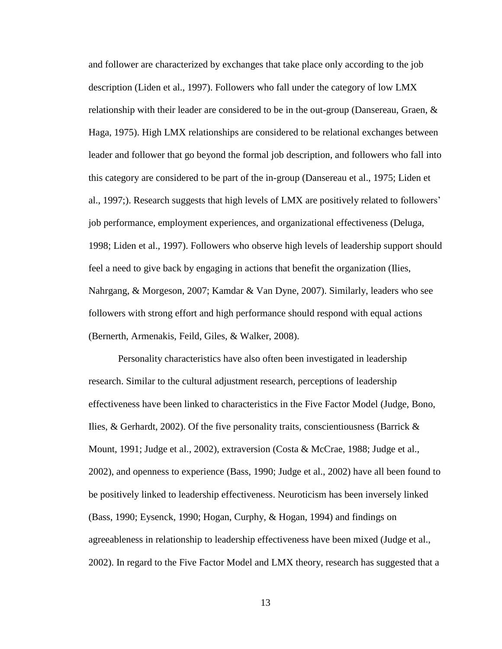and follower are characterized by exchanges that take place only according to the job description (Liden et al., 1997). Followers who fall under the category of low LMX relationship with their leader are considered to be in the out-group (Dansereau, Graen,  $\&$ Haga, 1975). High LMX relationships are considered to be relational exchanges between leader and follower that go beyond the formal job description, and followers who fall into this category are considered to be part of the in-group (Dansereau et al., 1975; Liden et al., 1997;). Research suggests that high levels of LMX are positively related to followers' job performance, employment experiences, and organizational effectiveness (Deluga, 1998; Liden et al., 1997). Followers who observe high levels of leadership support should feel a need to give back by engaging in actions that benefit the organization (Ilies, Nahrgang, & Morgeson, 2007; Kamdar & Van Dyne, 2007). Similarly, leaders who see followers with strong effort and high performance should respond with equal actions (Bernerth, Armenakis, Feild, Giles, & Walker, 2008).

Personality characteristics have also often been investigated in leadership research. Similar to the cultural adjustment research, perceptions of leadership effectiveness have been linked to characteristics in the Five Factor Model (Judge, Bono, Ilies, & Gerhardt, 2002). Of the five personality traits, conscientiousness (Barrick  $\&$ Mount, 1991; Judge et al., 2002), extraversion (Costa & McCrae, 1988; Judge et al., 2002), and openness to experience (Bass, 1990; Judge et al., 2002) have all been found to be positively linked to leadership effectiveness. Neuroticism has been inversely linked (Bass, 1990; Eysenck, 1990; Hogan, Curphy, & Hogan, 1994) and findings on agreeableness in relationship to leadership effectiveness have been mixed (Judge et al., 2002). In regard to the Five Factor Model and LMX theory, research has suggested that a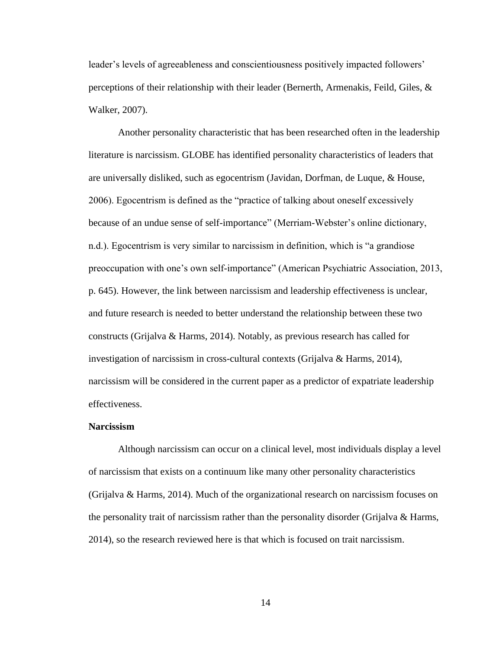leader's levels of agreeableness and conscientiousness positively impacted followers' perceptions of their relationship with their leader (Bernerth, Armenakis, Feild, Giles, & Walker, 2007).

Another personality characteristic that has been researched often in the leadership literature is narcissism. GLOBE has identified personality characteristics of leaders that are universally disliked, such as egocentrism (Javidan, Dorfman, de Luque, & House, 2006). Egocentrism is defined as the "practice of talking about oneself excessively because of an undue sense of self-importance" (Merriam-Webster's online dictionary, n.d.). Egocentrism is very similar to narcissism in definition, which is "a grandiose preoccupation with one's own self-importance" (American Psychiatric Association, 2013, p. 645). However, the link between narcissism and leadership effectiveness is unclear, and future research is needed to better understand the relationship between these two constructs (Grijalva & Harms, 2014). Notably, as previous research has called for investigation of narcissism in cross-cultural contexts (Grijalva & Harms, 2014), narcissism will be considered in the current paper as a predictor of expatriate leadership effectiveness.

#### **Narcissism**

Although narcissism can occur on a clinical level, most individuals display a level of narcissism that exists on a continuum like many other personality characteristics (Grijalva & Harms, 2014). Much of the organizational research on narcissism focuses on the personality trait of narcissism rather than the personality disorder (Grijalva & Harms, 2014), so the research reviewed here is that which is focused on trait narcissism.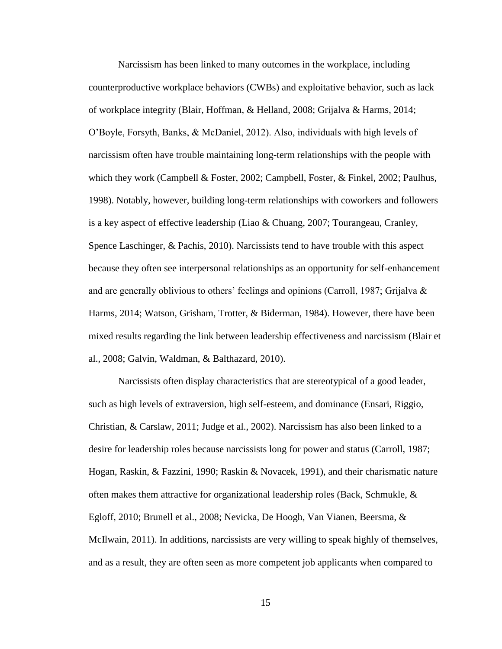Narcissism has been linked to many outcomes in the workplace, including counterproductive workplace behaviors (CWBs) and exploitative behavior, such as lack of workplace integrity (Blair, Hoffman, & Helland, 2008; Grijalva & Harms, 2014; O'Boyle, Forsyth, Banks, & McDaniel, 2012). Also, individuals with high levels of narcissism often have trouble maintaining long-term relationships with the people with which they work (Campbell & Foster, 2002; Campbell, Foster, & Finkel, 2002; Paulhus, 1998). Notably, however, building long-term relationships with coworkers and followers is a key aspect of effective leadership (Liao & Chuang, 2007; Tourangeau, Cranley, Spence Laschinger, & Pachis, 2010). Narcissists tend to have trouble with this aspect because they often see interpersonal relationships as an opportunity for self-enhancement and are generally oblivious to others' feelings and opinions (Carroll, 1987; Grijalva  $\&$ Harms, 2014; Watson, Grisham, Trotter, & Biderman, 1984). However, there have been mixed results regarding the link between leadership effectiveness and narcissism (Blair et al., 2008; Galvin, Waldman, & Balthazard, 2010).

Narcissists often display characteristics that are stereotypical of a good leader, such as high levels of extraversion, high self-esteem, and dominance (Ensari, Riggio, Christian, & Carslaw, 2011; Judge et al., 2002). Narcissism has also been linked to a desire for leadership roles because narcissists long for power and status (Carroll, 1987; Hogan, Raskin, & Fazzini, 1990; Raskin & Novacek, 1991), and their charismatic nature often makes them attractive for organizational leadership roles (Back, Schmukle,  $\&$ Egloff, 2010; Brunell et al., 2008; Nevicka, De Hoogh, Van Vianen, Beersma, & McIlwain, 2011). In additions, narcissists are very willing to speak highly of themselves, and as a result, they are often seen as more competent job applicants when compared to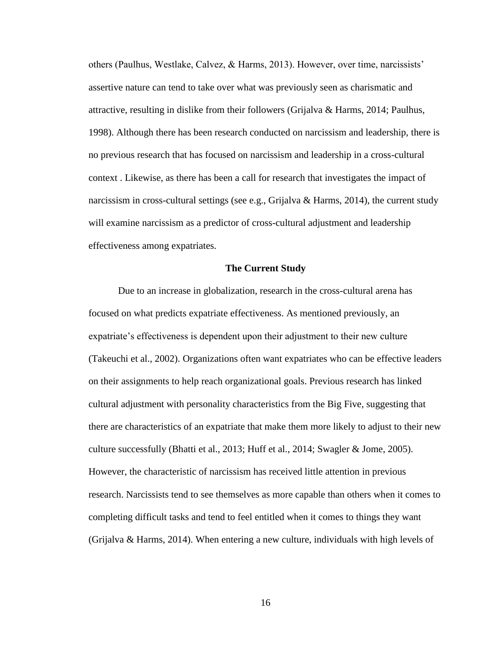others (Paulhus, Westlake, Calvez, & Harms, 2013). However, over time, narcissists' assertive nature can tend to take over what was previously seen as charismatic and attractive, resulting in dislike from their followers (Grijalva & Harms, 2014; Paulhus, 1998). Although there has been research conducted on narcissism and leadership, there is no previous research that has focused on narcissism and leadership in a cross-cultural context . Likewise, as there has been a call for research that investigates the impact of narcissism in cross-cultural settings (see e.g., Grijalva & Harms, 2014), the current study will examine narcissism as a predictor of cross-cultural adjustment and leadership effectiveness among expatriates.

#### **The Current Study**

Due to an increase in globalization, research in the cross-cultural arena has focused on what predicts expatriate effectiveness. As mentioned previously, an expatriate's effectiveness is dependent upon their adjustment to their new culture (Takeuchi et al., 2002). Organizations often want expatriates who can be effective leaders on their assignments to help reach organizational goals. Previous research has linked cultural adjustment with personality characteristics from the Big Five, suggesting that there are characteristics of an expatriate that make them more likely to adjust to their new culture successfully (Bhatti et al., 2013; Huff et al., 2014; Swagler & Jome, 2005). However, the characteristic of narcissism has received little attention in previous research. Narcissists tend to see themselves as more capable than others when it comes to completing difficult tasks and tend to feel entitled when it comes to things they want (Grijalva & Harms, 2014). When entering a new culture, individuals with high levels of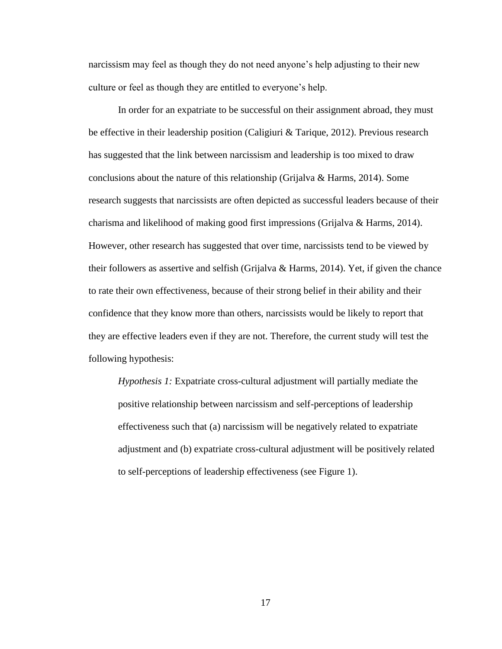narcissism may feel as though they do not need anyone's help adjusting to their new culture or feel as though they are entitled to everyone's help.

In order for an expatriate to be successful on their assignment abroad, they must be effective in their leadership position (Caligiuri & Tarique, 2012). Previous research has suggested that the link between narcissism and leadership is too mixed to draw conclusions about the nature of this relationship (Grijalva & Harms, 2014). Some research suggests that narcissists are often depicted as successful leaders because of their charisma and likelihood of making good first impressions (Grijalva & Harms, 2014). However, other research has suggested that over time, narcissists tend to be viewed by their followers as assertive and selfish (Grijalva & Harms, 2014). Yet, if given the chance to rate their own effectiveness, because of their strong belief in their ability and their confidence that they know more than others, narcissists would be likely to report that they are effective leaders even if they are not. Therefore, the current study will test the following hypothesis:

*Hypothesis 1:* Expatriate cross-cultural adjustment will partially mediate the positive relationship between narcissism and self-perceptions of leadership effectiveness such that (a) narcissism will be negatively related to expatriate adjustment and (b) expatriate cross-cultural adjustment will be positively related to self-perceptions of leadership effectiveness (see Figure 1).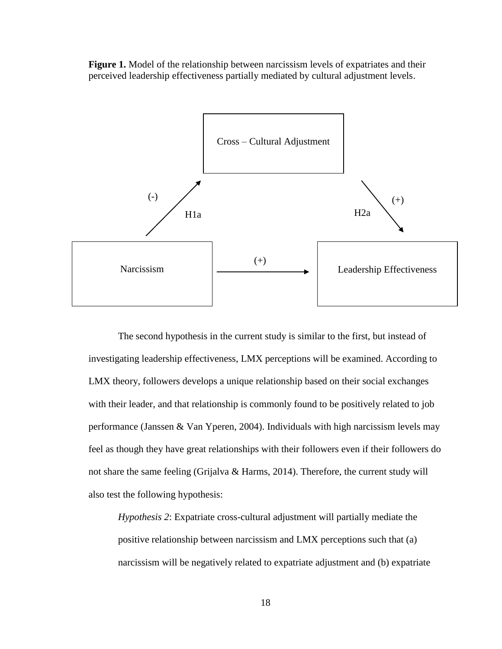**Figure 1.** Model of the relationship between narcissism levels of expatriates and their perceived leadership effectiveness partially mediated by cultural adjustment levels.



The second hypothesis in the current study is similar to the first, but instead of investigating leadership effectiveness, LMX perceptions will be examined. According to LMX theory, followers develops a unique relationship based on their social exchanges with their leader, and that relationship is commonly found to be positively related to job performance (Janssen & Van Yperen, 2004). Individuals with high narcissism levels may feel as though they have great relationships with their followers even if their followers do not share the same feeling (Grijalva & Harms, 2014). Therefore, the current study will also test the following hypothesis:

*Hypothesis 2*: Expatriate cross-cultural adjustment will partially mediate the positive relationship between narcissism and LMX perceptions such that (a) narcissism will be negatively related to expatriate adjustment and (b) expatriate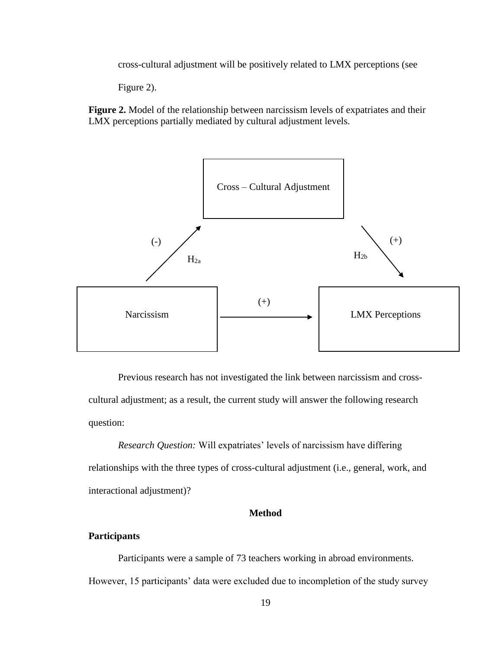cross-cultural adjustment will be positively related to LMX perceptions (see

Figure 2).

**Figure 2.** Model of the relationship between narcissism levels of expatriates and their LMX perceptions partially mediated by cultural adjustment levels.



Previous research has not investigated the link between narcissism and crosscultural adjustment; as a result, the current study will answer the following research question:

*Research Question:* Will expatriates' levels of narcissism have differing relationships with the three types of cross-cultural adjustment (i.e., general, work, and interactional adjustment)?

#### **Method**

#### **Participants**

Participants were a sample of 73 teachers working in abroad environments. However, 15 participants' data were excluded due to incompletion of the study survey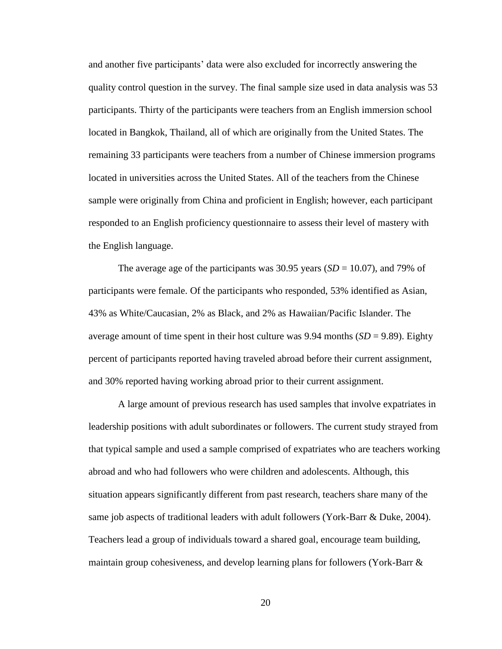and another five participants' data were also excluded for incorrectly answering the quality control question in the survey. The final sample size used in data analysis was 53 participants. Thirty of the participants were teachers from an English immersion school located in Bangkok, Thailand, all of which are originally from the United States. The remaining 33 participants were teachers from a number of Chinese immersion programs located in universities across the United States. All of the teachers from the Chinese sample were originally from China and proficient in English; however, each participant responded to an English proficiency questionnaire to assess their level of mastery with the English language.

The average age of the participants was  $30.95$  years (*SD* = 10.07), and 79% of participants were female. Of the participants who responded, 53% identified as Asian, 43% as White/Caucasian, 2% as Black, and 2% as Hawaiian/Pacific Islander. The average amount of time spent in their host culture was  $9.94$  months (*SD* =  $9.89$ ). Eighty percent of participants reported having traveled abroad before their current assignment, and 30% reported having working abroad prior to their current assignment.

A large amount of previous research has used samples that involve expatriates in leadership positions with adult subordinates or followers. The current study strayed from that typical sample and used a sample comprised of expatriates who are teachers working abroad and who had followers who were children and adolescents. Although, this situation appears significantly different from past research, teachers share many of the same job aspects of traditional leaders with adult followers (York-Barr & Duke, 2004). Teachers lead a group of individuals toward a shared goal, encourage team building, maintain group cohesiveness, and develop learning plans for followers (York-Barr &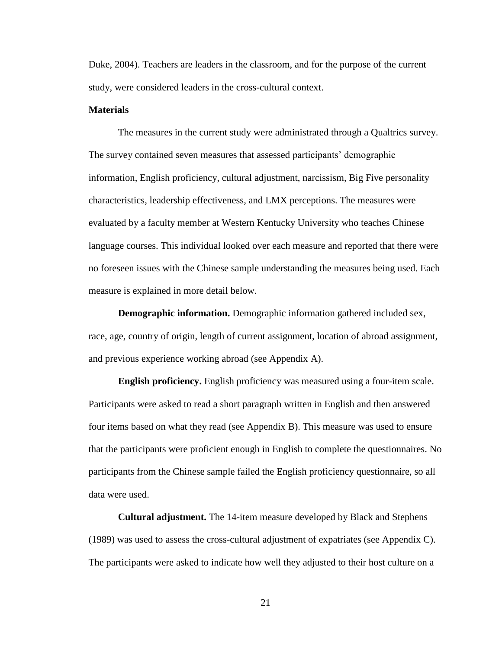Duke, 2004). Teachers are leaders in the classroom, and for the purpose of the current study, were considered leaders in the cross-cultural context.

#### **Materials**

The measures in the current study were administrated through a Qualtrics survey. The survey contained seven measures that assessed participants' demographic information, English proficiency, cultural adjustment, narcissism, Big Five personality characteristics, leadership effectiveness, and LMX perceptions. The measures were evaluated by a faculty member at Western Kentucky University who teaches Chinese language courses. This individual looked over each measure and reported that there were no foreseen issues with the Chinese sample understanding the measures being used. Each measure is explained in more detail below.

**Demographic information.** Demographic information gathered included sex, race, age, country of origin, length of current assignment, location of abroad assignment, and previous experience working abroad (see Appendix A).

**English proficiency.** English proficiency was measured using a four-item scale. Participants were asked to read a short paragraph written in English and then answered four items based on what they read (see Appendix B). This measure was used to ensure that the participants were proficient enough in English to complete the questionnaires. No participants from the Chinese sample failed the English proficiency questionnaire, so all data were used.

**Cultural adjustment.** The 14-item measure developed by Black and Stephens (1989) was used to assess the cross-cultural adjustment of expatriates (see Appendix C). The participants were asked to indicate how well they adjusted to their host culture on a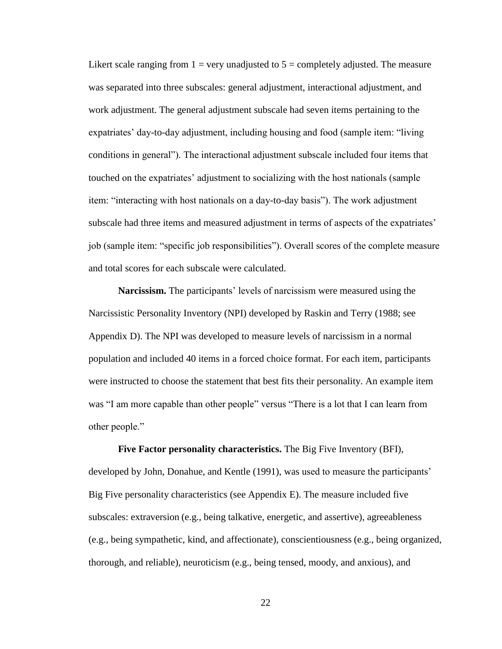Likert scale ranging from  $1 = \text{very unadjusted to } 5 = \text{completely adjusted}$ . The measure was separated into three subscales: general adjustment, interactional adjustment, and work adjustment. The general adjustment subscale had seven items pertaining to the expatriates' day-to-day adjustment, including housing and food (sample item: "living conditions in general"). The interactional adjustment subscale included four items that touched on the expatriates' adjustment to socializing with the host nationals (sample item: "interacting with host nationals on a day-to-day basis"). The work adjustment subscale had three items and measured adjustment in terms of aspects of the expatriates' job (sample item: "specific job responsibilities"). Overall scores of the complete measure and total scores for each subscale were calculated.

**Narcissism.** The participants' levels of narcissism were measured using the Narcissistic Personality Inventory (NPI) developed by Raskin and Terry (1988; see Appendix D). The NPI was developed to measure levels of narcissism in a normal population and included 40 items in a forced choice format. For each item, participants were instructed to choose the statement that best fits their personality. An example item was "I am more capable than other people" versus "There is a lot that I can learn from other people."

**Five Factor personality characteristics.** The Big Five Inventory (BFI), developed by John, Donahue, and Kentle (1991), was used to measure the participants' Big Five personality characteristics (see Appendix E). The measure included five subscales: extraversion (e.g., being talkative, energetic, and assertive), agreeableness (e.g., being sympathetic, kind, and affectionate), conscientiousness (e.g., being organized, thorough, and reliable), neuroticism (e.g., being tensed, moody, and anxious), and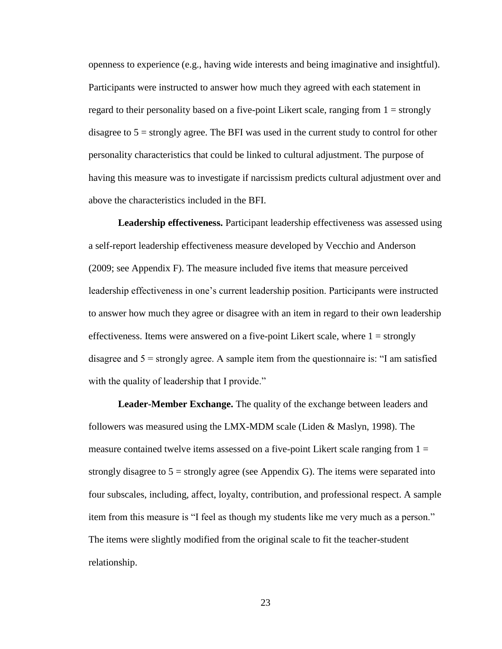openness to experience (e.g., having wide interests and being imaginative and insightful). Participants were instructed to answer how much they agreed with each statement in regard to their personality based on a five-point Likert scale, ranging from  $1 =$  strongly disagree to  $5 =$  strongly agree. The BFI was used in the current study to control for other personality characteristics that could be linked to cultural adjustment. The purpose of having this measure was to investigate if narcissism predicts cultural adjustment over and above the characteristics included in the BFI.

**Leadership effectiveness.** Participant leadership effectiveness was assessed using a self-report leadership effectiveness measure developed by Vecchio and Anderson (2009; see Appendix F). The measure included five items that measure perceived leadership effectiveness in one's current leadership position. Participants were instructed to answer how much they agree or disagree with an item in regard to their own leadership effectiveness. Items were answered on a five-point Likert scale, where  $1 =$  strongly disagree and 5 = strongly agree. A sample item from the questionnaire is: "I am satisfied with the quality of leadership that I provide."

**Leader-Member Exchange.** The quality of the exchange between leaders and followers was measured using the LMX-MDM scale (Liden & Maslyn, 1998). The measure contained twelve items assessed on a five-point Likert scale ranging from  $1 =$ strongly disagree to  $5 =$  strongly agree (see Appendix G). The items were separated into four subscales, including, affect, loyalty, contribution, and professional respect. A sample item from this measure is "I feel as though my students like me very much as a person." The items were slightly modified from the original scale to fit the teacher-student relationship.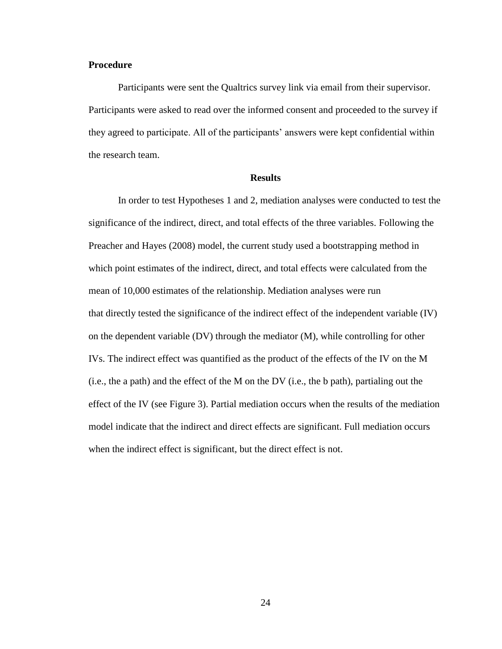# **Procedure**

Participants were sent the Qualtrics survey link via email from their supervisor. Participants were asked to read over the informed consent and proceeded to the survey if they agreed to participate. All of the participants' answers were kept confidential within the research team.

#### **Results**

In order to test Hypotheses 1 and 2, mediation analyses were conducted to test the significance of the indirect, direct, and total effects of the three variables. Following the Preacher and Hayes (2008) model, the current study used a bootstrapping method in which point estimates of the indirect, direct, and total effects were calculated from the mean of 10,000 estimates of the relationship. Mediation analyses were run that directly tested the significance of the indirect effect of the independent variable (IV) on the dependent variable (DV) through the mediator (M), while controlling for other IVs. The indirect effect was quantified as the product of the effects of the IV on the M (i.e., the a path) and the effect of the M on the DV (i.e., the b path), partialing out the effect of the IV (see Figure 3). Partial mediation occurs when the results of the mediation model indicate that the indirect and direct effects are significant. Full mediation occurs when the indirect effect is significant, but the direct effect is not.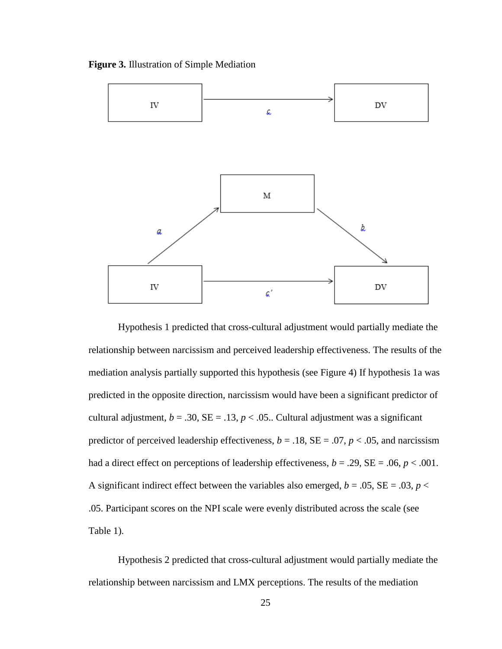**Figure 3.** Illustration of Simple Mediation



Hypothesis 1 predicted that cross-cultural adjustment would partially mediate the relationship between narcissism and perceived leadership effectiveness. The results of the mediation analysis partially supported this hypothesis (see Figure 4) If hypothesis 1a was predicted in the opposite direction, narcissism would have been a significant predictor of cultural adjustment,  $b = .30$ ,  $SE = .13$ ,  $p < .05$ . Cultural adjustment was a significant predictor of perceived leadership effectiveness,  $b = .18$ ,  $SE = .07$ ,  $p < .05$ , and narcissism had a direct effect on perceptions of leadership effectiveness,  $b = .29$ ,  $SE = .06$ ,  $p < .001$ . A significant indirect effect between the variables also emerged,  $b = .05$ ,  $SE = .03$ ,  $p <$ .05. Participant scores on the NPI scale were evenly distributed across the scale (see Table 1).

Hypothesis 2 predicted that cross-cultural adjustment would partially mediate the relationship between narcissism and LMX perceptions. The results of the mediation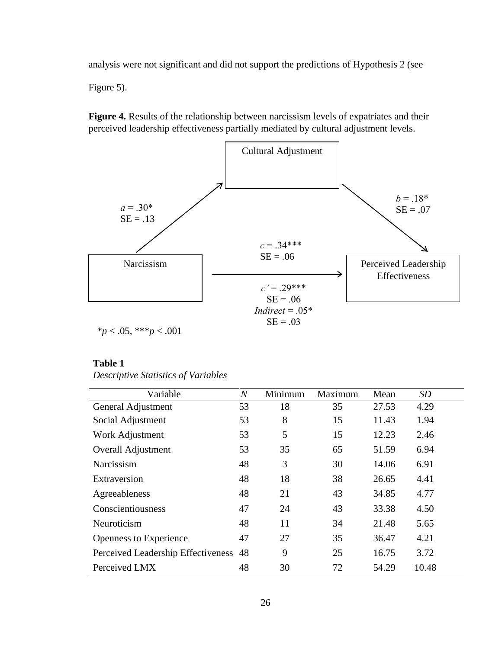analysis were not significant and did not support the predictions of Hypothesis 2 (see

Figure 5).

**Figure 4.** Results of the relationship between narcissism levels of expatriates and their perceived leadership effectiveness partially mediated by cultural adjustment levels.



#### **Table 1**

| Variable                              | $\overline{N}$ | Minimum | Maximum | Mean  | SD    |
|---------------------------------------|----------------|---------|---------|-------|-------|
| General Adjustment                    | 53             | 18      | 35      | 27.53 | 4.29  |
| Social Adjustment                     | 53             | 8       | 15      | 11.43 | 1.94  |
| Work Adjustment                       | 53             | 5       | 15      | 12.23 | 2.46  |
| <b>Overall Adjustment</b>             | 53             | 35      | 65      | 51.59 | 6.94  |
| Narcissism                            | 48             | 3       | 30      | 14.06 | 6.91  |
| Extraversion                          | 48             | 18      | 38      | 26.65 | 4.41  |
| Agreeableness                         | 48             | 21      | 43      | 34.85 | 4.77  |
| Conscientiousness                     | 47             | 24      | 43      | 33.38 | 4.50  |
| Neuroticism                           | 48             | 11      | 34      | 21.48 | 5.65  |
| Openness to Experience                | 47             | 27      | 35      | 36.47 | 4.21  |
| Perceived Leadership Effectiveness 48 |                | 9       | 25      | 16.75 | 3.72  |
| Perceived LMX                         | 48             | 30      | 72      | 54.29 | 10.48 |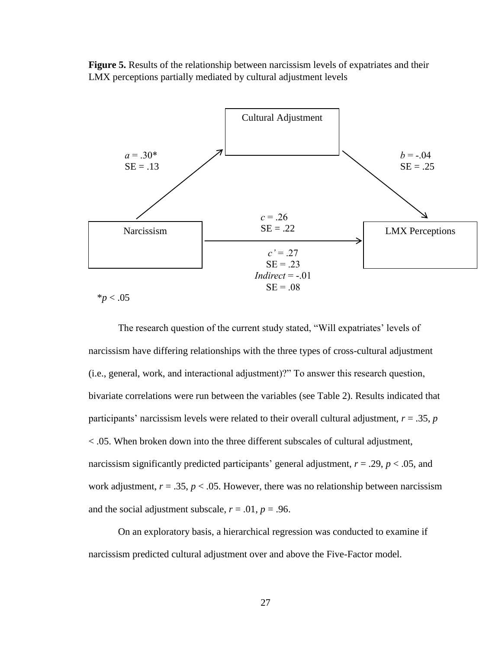**Figure 5.** Results of the relationship between narcissism levels of expatriates and their LMX perceptions partially mediated by cultural adjustment levels



 $*p < .05$ 

The research question of the current study stated, "Will expatriates' levels of narcissism have differing relationships with the three types of cross-cultural adjustment (i.e., general, work, and interactional adjustment)?" To answer this research question, bivariate correlations were run between the variables (see Table 2). Results indicated that participants' narcissism levels were related to their overall cultural adjustment,  $r = .35$ ,  $p = 0$ < .05. When broken down into the three different subscales of cultural adjustment, narcissism significantly predicted participants' general adjustment,  $r = .29$ ,  $p < .05$ , and work adjustment,  $r = .35$ ,  $p < .05$ . However, there was no relationship between narcissism and the social adjustment subscale,  $r = .01$ ,  $p = .96$ .

On an exploratory basis, a hierarchical regression was conducted to examine if narcissism predicted cultural adjustment over and above the Five-Factor model.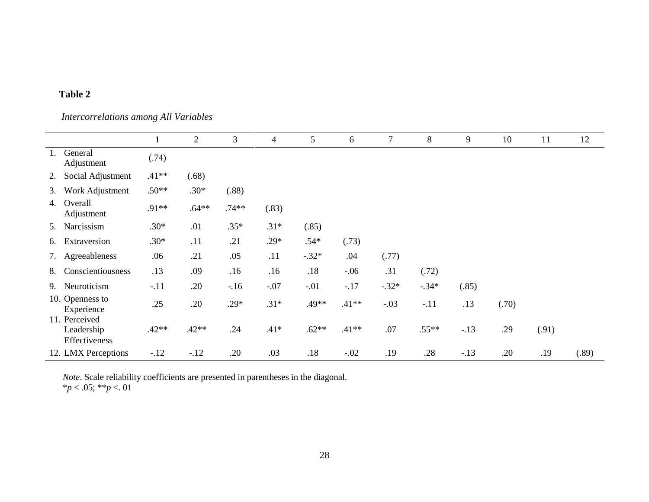# **Table 2**

*Intercorrelations among All Variables* 

|    |                                              |         | $\overline{2}$ | 3       | 4      | 5       | 6       | $\overline{7}$ | 8       | 9      | 10    | 11    | 12    |
|----|----------------------------------------------|---------|----------------|---------|--------|---------|---------|----------------|---------|--------|-------|-------|-------|
| 1. | General<br>Adjustment                        | (.74)   |                |         |        |         |         |                |         |        |       |       |       |
|    | 2. Social Adjustment                         | $.41**$ | (.68)          |         |        |         |         |                |         |        |       |       |       |
| 3. | Work Adjustment                              | $.50**$ | $.30*$         | (.88)   |        |         |         |                |         |        |       |       |       |
|    | 4. Overall<br>Adjustment                     | $.91**$ | $.64**$        | $.74**$ | (.83)  |         |         |                |         |        |       |       |       |
|    | 5. Narcissism                                | $.30*$  | .01            | $.35*$  | $.31*$ | (.85)   |         |                |         |        |       |       |       |
| 6. | Extraversion                                 | $.30*$  | .11            | .21     | $.29*$ | $.54*$  | (.73)   |                |         |        |       |       |       |
|    | 7. Agreeableness                             | .06     | .21            | .05     | .11    | $-.32*$ | .04     | (.77)          |         |        |       |       |       |
| 8. | Conscientiousness                            | .13     | .09            | .16     | .16    | .18     | $-.06$  | .31            | (.72)   |        |       |       |       |
| 9. | Neuroticism                                  | $-.11$  | .20            | $-.16$  | $-.07$ | $-.01$  | $-.17$  | $-.32*$        | $-.34*$ | (.85)  |       |       |       |
|    | 10. Openness to<br>Experience                | .25     | .20            | $.29*$  | $.31*$ | .49**   | $.41**$ | $-.03$         | $-.11$  | .13    | (.70) |       |       |
|    | 11. Perceived<br>Leadership<br>Effectiveness | $.42**$ | $.42**$        | .24     | $.41*$ | $.62**$ | $.41**$ | .07            | $.55**$ | $-.13$ | .29   | (.91) |       |
|    | 12. LMX Perceptions                          | $-12$   | $-.12$         | .20     | .03    | .18     | $-.02$  | .19            | .28     | $-.13$ | .20   | .19   | (.89) |

*Note*. Scale reliability coefficients are presented in parentheses in the diagonal.

\**p* < .05; \*\**p* <. 01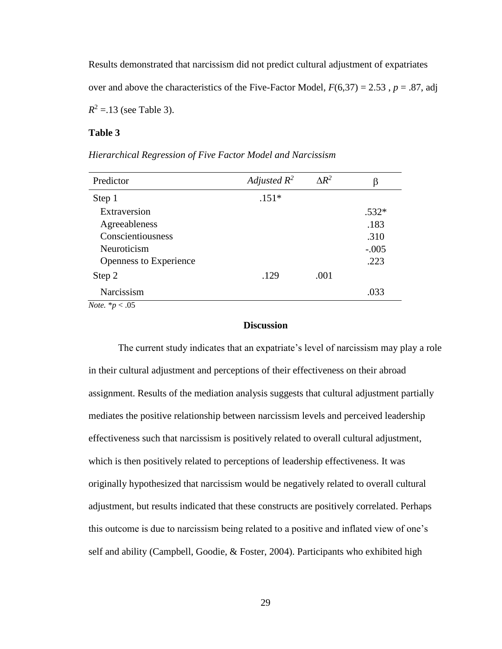Results demonstrated that narcissism did not predict cultural adjustment of expatriates over and above the characteristics of the Five-Factor Model,  $F(6,37) = 2.53$ ,  $p = .87$ , adj  $R^2 = 13$  (see Table 3).

### **Table 3**

#### *Hierarchical Regression of Five Factor Model and Narcissism*

| Predictor                      | Adjusted $R^2$ | $\Delta R^2$ | β       |
|--------------------------------|----------------|--------------|---------|
| Step 1                         | $.151*$        |              |         |
| Extraversion                   |                |              | $.532*$ |
| Agreeableness                  |                |              | .183    |
| Conscientiousness              |                |              | .310    |
| Neuroticism                    |                |              | $-.005$ |
| Openness to Experience         |                |              | .223    |
| Step 2                         | .129           | .001         |         |
| Narcissism                     |                |              | .033    |
| $M_{11}$ , $M_{22}$ , $M_{12}$ |                |              |         |

*Note.* \**p* < .05

#### **Discussion**

The current study indicates that an expatriate's level of narcissism may play a role in their cultural adjustment and perceptions of their effectiveness on their abroad assignment. Results of the mediation analysis suggests that cultural adjustment partially mediates the positive relationship between narcissism levels and perceived leadership effectiveness such that narcissism is positively related to overall cultural adjustment, which is then positively related to perceptions of leadership effectiveness. It was originally hypothesized that narcissism would be negatively related to overall cultural adjustment, but results indicated that these constructs are positively correlated. Perhaps this outcome is due to narcissism being related to a positive and inflated view of one's self and ability (Campbell, Goodie, & Foster, 2004). Participants who exhibited high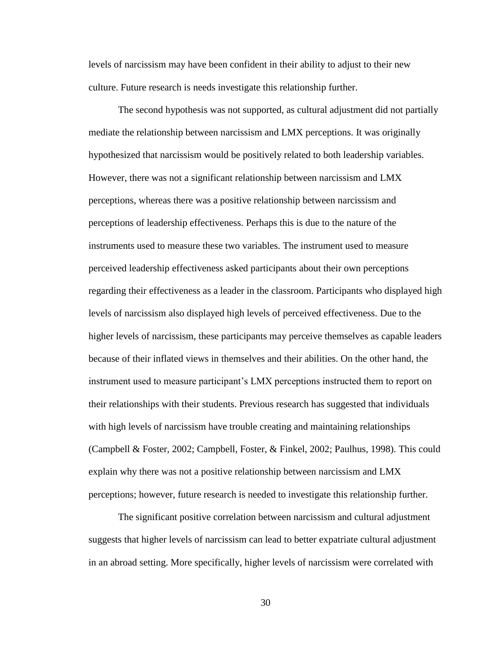levels of narcissism may have been confident in their ability to adjust to their new culture. Future research is needs investigate this relationship further.

The second hypothesis was not supported, as cultural adjustment did not partially mediate the relationship between narcissism and LMX perceptions. It was originally hypothesized that narcissism would be positively related to both leadership variables. However, there was not a significant relationship between narcissism and LMX perceptions, whereas there was a positive relationship between narcissism and perceptions of leadership effectiveness. Perhaps this is due to the nature of the instruments used to measure these two variables. The instrument used to measure perceived leadership effectiveness asked participants about their own perceptions regarding their effectiveness as a leader in the classroom. Participants who displayed high levels of narcissism also displayed high levels of perceived effectiveness. Due to the higher levels of narcissism, these participants may perceive themselves as capable leaders because of their inflated views in themselves and their abilities. On the other hand, the instrument used to measure participant's LMX perceptions instructed them to report on their relationships with their students. Previous research has suggested that individuals with high levels of narcissism have trouble creating and maintaining relationships (Campbell & Foster, 2002; Campbell, Foster, & Finkel, 2002; Paulhus, 1998). This could explain why there was not a positive relationship between narcissism and LMX perceptions; however, future research is needed to investigate this relationship further.

The significant positive correlation between narcissism and cultural adjustment suggests that higher levels of narcissism can lead to better expatriate cultural adjustment in an abroad setting. More specifically, higher levels of narcissism were correlated with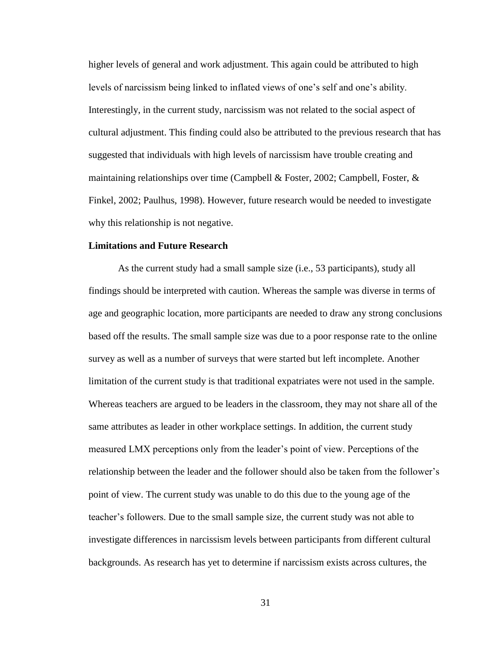higher levels of general and work adjustment. This again could be attributed to high levels of narcissism being linked to inflated views of one's self and one's ability. Interestingly, in the current study, narcissism was not related to the social aspect of cultural adjustment. This finding could also be attributed to the previous research that has suggested that individuals with high levels of narcissism have trouble creating and maintaining relationships over time (Campbell & Foster, 2002; Campbell, Foster,  $\&$ Finkel, 2002; Paulhus, 1998). However, future research would be needed to investigate why this relationship is not negative.

#### **Limitations and Future Research**

As the current study had a small sample size (i.e., 53 participants), study all findings should be interpreted with caution. Whereas the sample was diverse in terms of age and geographic location, more participants are needed to draw any strong conclusions based off the results. The small sample size was due to a poor response rate to the online survey as well as a number of surveys that were started but left incomplete. Another limitation of the current study is that traditional expatriates were not used in the sample. Whereas teachers are argued to be leaders in the classroom, they may not share all of the same attributes as leader in other workplace settings. In addition, the current study measured LMX perceptions only from the leader's point of view. Perceptions of the relationship between the leader and the follower should also be taken from the follower's point of view. The current study was unable to do this due to the young age of the teacher's followers. Due to the small sample size, the current study was not able to investigate differences in narcissism levels between participants from different cultural backgrounds. As research has yet to determine if narcissism exists across cultures, the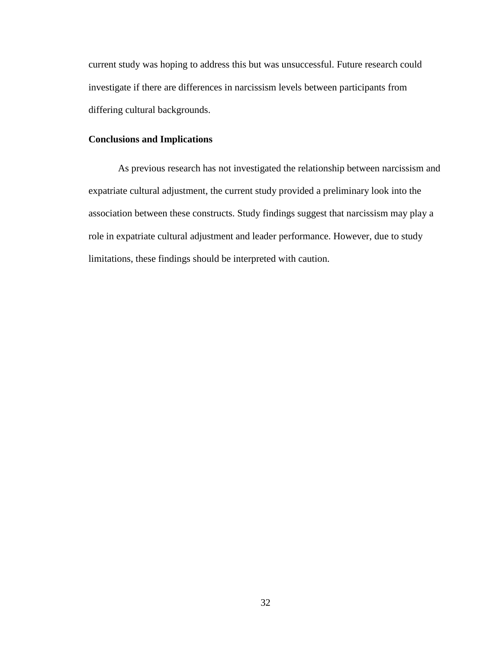current study was hoping to address this but was unsuccessful. Future research could investigate if there are differences in narcissism levels between participants from differing cultural backgrounds.

# **Conclusions and Implications**

As previous research has not investigated the relationship between narcissism and expatriate cultural adjustment, the current study provided a preliminary look into the association between these constructs. Study findings suggest that narcissism may play a role in expatriate cultural adjustment and leader performance. However, due to study limitations, these findings should be interpreted with caution.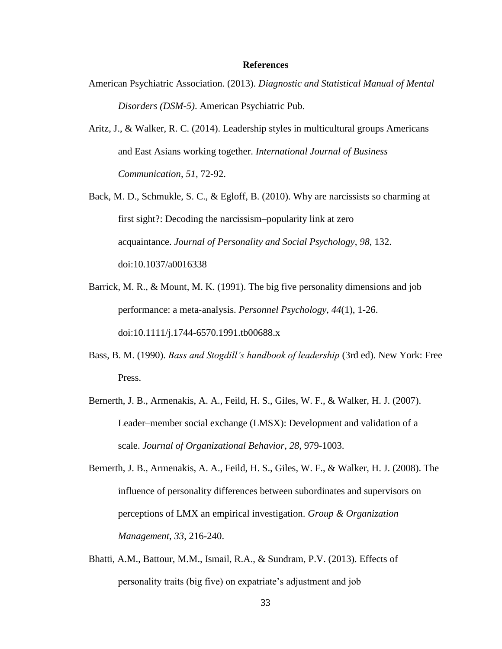#### **References**

- American Psychiatric Association. (2013). *Diagnostic and Statistical Manual of Mental Disorders (DSM-5)*. American Psychiatric Pub.
- Aritz, J., & Walker, R. C. (2014). Leadership styles in multicultural groups Americans and East Asians working together. *International Journal of Business Communication*, *51*, 72-92.
- Back, M. D., Schmukle, S. C., & Egloff, B. (2010). Why are narcissists so charming at first sight?: Decoding the narcissism–popularity link at zero acquaintance. *Journal of Personality and Social Psychology*, *98*, 132. doi:10.1037/a0016338
- Barrick, M. R., & Mount, M. K. (1991). The big five personality dimensions and job performance: a meta‐analysis. *Personnel Psychology*, *44*(1), 1-26. doi:10.1111/j.1744-6570.1991.tb00688.x
- Bass, B. M. (1990). *Bass and Stogdill's handbook of leadership* (3rd ed). New York: Free Press.
- Bernerth, J. B., Armenakis, A. A., Feild, H. S., Giles, W. F., & Walker, H. J. (2007). Leader–member social exchange (LMSX): Development and validation of a scale. *Journal of Organizational Behavior*, *28*, 979-1003.
- Bernerth, J. B., Armenakis, A. A., Feild, H. S., Giles, W. F., & Walker, H. J. (2008). The influence of personality differences between subordinates and supervisors on perceptions of LMX an empirical investigation. *Group & Organization Management*, *33*, 216-240.
- Bhatti, A.M., Battour, M.M., Ismail, R.A., & Sundram, P.V. (2013). Effects of personality traits (big five) on expatriate's adjustment and job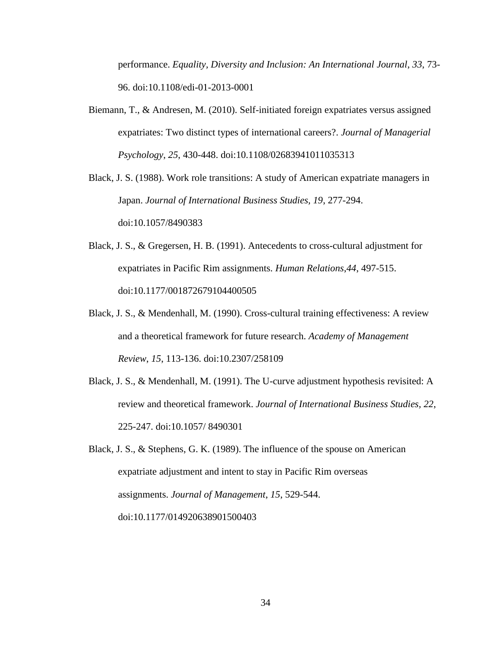performance. *Equality, Diversity and Inclusion: An International Journal*, *33*, 73- 96. doi:10.1108/edi-01-2013-0001

- Biemann, T., & Andresen, M. (2010). Self-initiated foreign expatriates versus assigned expatriates: Two distinct types of international careers?. *Journal of Managerial Psychology*, *25*, 430-448. doi:10.1108/02683941011035313
- Black, J. S. (1988). Work role transitions: A study of American expatriate managers in Japan. *Journal of International Business Studies, 19*, 277-294. doi:10.1057/8490383
- Black, J. S., & Gregersen, H. B. (1991). Antecedents to cross-cultural adjustment for expatriates in Pacific Rim assignments. *Human Relations*,*44*, 497-515. doi:10.1177/001872679104400505
- Black, J. S., & Mendenhall, M. (1990). Cross-cultural training effectiveness: A review and a theoretical framework for future research. *Academy of Management Review*, *15*, 113-136. doi:10.2307/258109
- Black, J. S., & Mendenhall, M. (1991). The U-curve adjustment hypothesis revisited: A review and theoretical framework. *Journal of International Business Studies, 22*, 225-247. doi:10.1057/ 8490301
- Black, J. S., & Stephens, G. K. (1989). The influence of the spouse on American expatriate adjustment and intent to stay in Pacific Rim overseas assignments. *Journal of Management*, *15*, 529-544. doi:10.1177/014920638901500403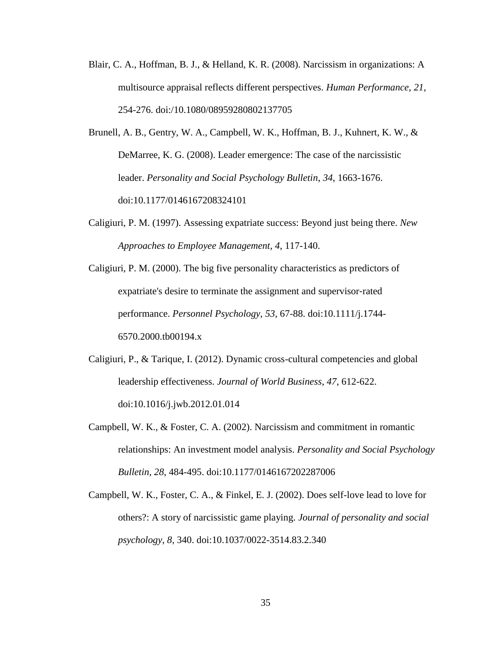- Blair, C. A., Hoffman, B. J., & Helland, K. R. (2008). Narcissism in organizations: A multisource appraisal reflects different perspectives. *Human Performance*, *21*, 254-276. doi:/10.1080/08959280802137705
- Brunell, A. B., Gentry, W. A., Campbell, W. K., Hoffman, B. J., Kuhnert, K. W., & DeMarree, K. G. (2008). Leader emergence: The case of the narcissistic leader. *Personality and Social Psychology Bulletin*, *34*, 1663-1676. doi:10.1177/0146167208324101
- Caligiuri, P. M. (1997). Assessing expatriate success: Beyond just being there. *New Approaches to Employee Management, 4*, 117-140.
- Caligiuri, P. M. (2000). The big five personality characteristics as predictors of expatriate's desire to terminate the assignment and supervisor‐rated performance. *Personnel Psychology*, *53*, 67-88. doi:10.1111/j.1744- 6570.2000.tb00194.x
- Caligiuri, P., & Tarique, I. (2012). Dynamic cross-cultural competencies and global leadership effectiveness. *Journal of World Business*, *47*, 612-622. doi:10.1016/j.jwb.2012.01.014
- Campbell, W. K., & Foster, C. A. (2002). Narcissism and commitment in romantic relationships: An investment model analysis. *Personality and Social Psychology Bulletin*, *28*, 484-495. doi:10.1177/0146167202287006
- Campbell, W. K., Foster, C. A., & Finkel, E. J. (2002). Does self-love lead to love for others?: A story of narcissistic game playing. *Journal of personality and social psychology*, *8*, 340. doi:10.1037/0022-3514.83.2.340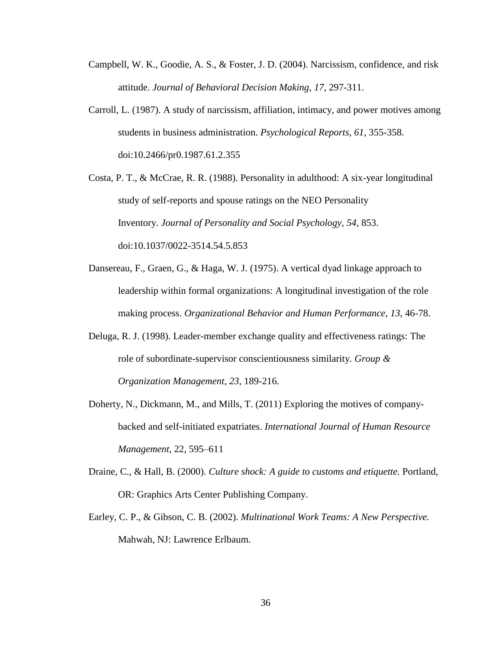- Campbell, W. K., Goodie, A. S., & Foster, J. D. (2004). Narcissism, confidence, and risk attitude. *Journal of Behavioral Decision Making*, *17*, 297-311.
- Carroll, L. (1987). A study of narcissism, affiliation, intimacy, and power motives among students in business administration. *Psychological Reports*, *61*, 355-358. doi:10.2466/pr0.1987.61.2.355

Costa, P. T., & McCrae, R. R. (1988). Personality in adulthood: A six-year longitudinal study of self-reports and spouse ratings on the NEO Personality Inventory. *Journal of Personality and Social Psychology*, *54*, 853. doi:10.1037/0022-3514.54.5.853

- Dansereau, F., Graen, G., & Haga, W. J. (1975). A vertical dyad linkage approach to leadership within formal organizations: A longitudinal investigation of the role making process. *Organizational Behavior and Human Performance*, *13*, 46-78.
- Deluga, R. J. (1998). Leader-member exchange quality and effectiveness ratings: The role of subordinate-supervisor conscientiousness similarity. *Group & Organization Management*, *23*, 189-216.
- Doherty, N., Dickmann, M., and Mills, T. (2011) Exploring the motives of companybacked and self-initiated expatriates. *International Journal of Human Resource Management*, 22, 595–611
- Draine, C., & Hall, B. (2000). *Culture shock: A guide to customs and etiquette.* Portland, OR: Graphics Arts Center Publishing Company.
- Earley, C. P., & Gibson, C. B. (2002). *Multinational Work Teams: A New Perspective.* Mahwah, NJ: Lawrence Erlbaum.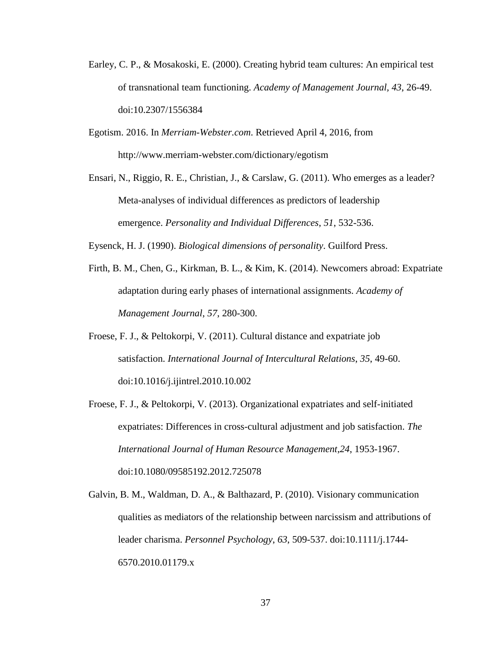- Earley, C. P., & Mosakoski, E. (2000). Creating hybrid team cultures: An empirical test of transnational team functioning. *Academy of Management Journal, 43*, 26-49. doi:10.2307/1556384
- Egotism. 2016. In *Merriam-Webster.com*. Retrieved April 4, 2016, from http://www.merriam-webster.com/dictionary/egotism
- Ensari, N., Riggio, R. E., Christian, J., & Carslaw, G. (2011). Who emerges as a leader? Meta-analyses of individual differences as predictors of leadership emergence. *Personality and Individual Differences*, *51*, 532-536.

Eysenck, H. J. (1990). *Biological dimensions of personality*. Guilford Press.

- Firth, B. M., Chen, G., Kirkman, B. L., & Kim, K. (2014). Newcomers abroad: Expatriate adaptation during early phases of international assignments. *Academy of Management Journal*, *57*, 280-300.
- Froese, F. J., & Peltokorpi, V. (2011). Cultural distance and expatriate job satisfaction. *International Journal of Intercultural Relations*, *35*, 49-60. doi:10.1016/j.ijintrel.2010.10.002
- Froese, F. J., & Peltokorpi, V. (2013). Organizational expatriates and self-initiated expatriates: Differences in cross-cultural adjustment and job satisfaction. *The International Journal of Human Resource Management*,*24*, 1953-1967. doi:10.1080/09585192.2012.725078
- Galvin, B. M., Waldman, D. A., & Balthazard, P. (2010). Visionary communication qualities as mediators of the relationship between narcissism and attributions of leader charisma. *Personnel Psychology*, *63*, 509-537. doi:10.1111/j.1744- 6570.2010.01179.x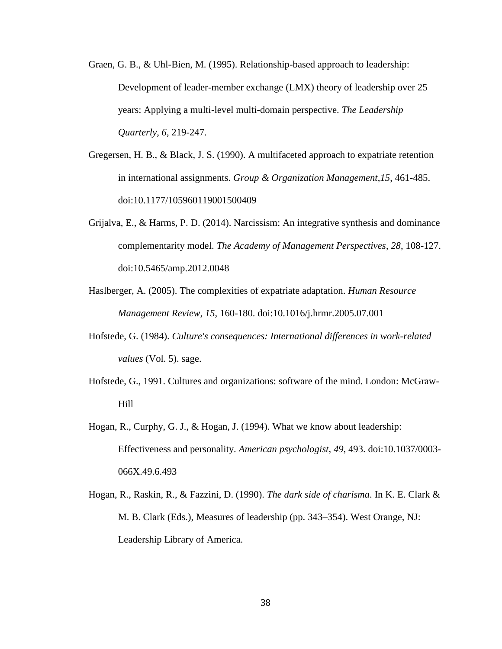- Graen, G. B., & Uhl-Bien, M. (1995). Relationship-based approach to leadership: Development of leader-member exchange (LMX) theory of leadership over 25 years: Applying a multi-level multi-domain perspective. *The Leadership Quarterly*, *6*, 219-247.
- Gregersen, H. B., & Black, J. S. (1990). A multifaceted approach to expatriate retention in international assignments. *Group & Organization Management*,*15*, 461-485. doi:10.1177/105960119001500409
- Grijalva, E., & Harms, P. D. (2014). Narcissism: An integrative synthesis and dominance complementarity model. *The Academy of Management Perspectives*, *28*, 108-127. doi:10.5465/amp.2012.0048
- Haslberger, A. (2005). The complexities of expatriate adaptation. *Human Resource Management Review*, *15*, 160-180. doi:10.1016/j.hrmr.2005.07.001
- Hofstede, G. (1984). *Culture's consequences: International differences in work-related values* (Vol. 5). sage.
- Hofstede, G., 1991. Cultures and organizations: software of the mind. London: McGraw-Hill
- Hogan, R., Curphy, G. J., & Hogan, J. (1994). What we know about leadership: Effectiveness and personality. *American psychologist*, *49*, 493. doi:10.1037/0003- 066X.49.6.493
- Hogan, R., Raskin, R., & Fazzini, D. (1990). *The dark side of charisma*. In K. E. Clark & M. B. Clark (Eds.), Measures of leadership (pp. 343–354). West Orange, NJ: Leadership Library of America.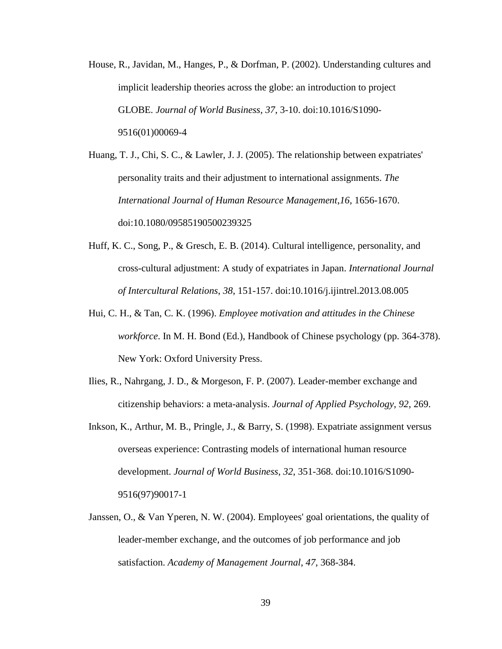House, R., Javidan, M., Hanges, P., & Dorfman, P. (2002). Understanding cultures and implicit leadership theories across the globe: an introduction to project GLOBE. *Journal of World Business*, *37*, 3-10. doi:10.1016/S1090- 9516(01)00069-4

Huang, T. J., Chi, S. C., & Lawler, J. J. (2005). The relationship between expatriates' personality traits and their adjustment to international assignments. *The International Journal of Human Resource Management*,*16*, 1656-1670. doi:10.1080/09585190500239325

- Huff, K. C., Song, P., & Gresch, E. B. (2014). Cultural intelligence, personality, and cross-cultural adjustment: A study of expatriates in Japan. *International Journal of Intercultural Relations*, *38*, 151-157. doi:10.1016/j.ijintrel.2013.08.005
- Hui, C. H., & Tan, C. K. (1996). *Employee motivation and attitudes in the Chinese workforce*. In M. H. Bond (Ed.), Handbook of Chinese psychology (pp. 364-378). New York: Oxford University Press.
- Ilies, R., Nahrgang, J. D., & Morgeson, F. P. (2007). Leader-member exchange and citizenship behaviors: a meta-analysis. *Journal of Applied Psychology*, *92*, 269.
- Inkson, K., Arthur, M. B., Pringle, J., & Barry, S. (1998). Expatriate assignment versus overseas experience: Contrasting models of international human resource development. *Journal of World Business*, *32*, 351-368. doi:10.1016/S1090- 9516(97)90017-1
- Janssen, O., & Van Yperen, N. W. (2004). Employees' goal orientations, the quality of leader-member exchange, and the outcomes of job performance and job satisfaction. *Academy of Management Journal*, *47*, 368-384.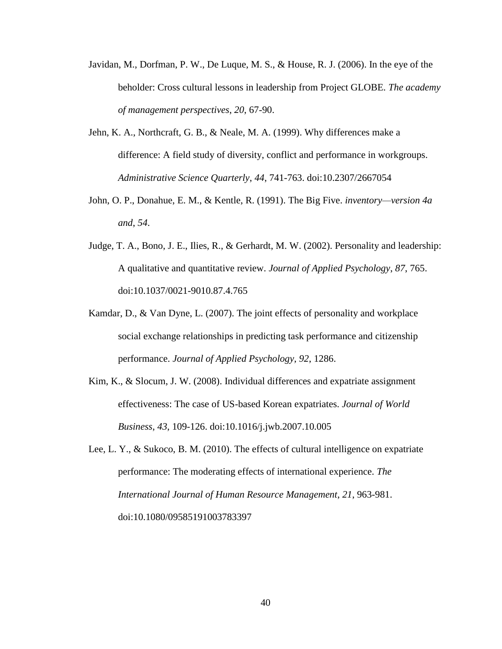- Javidan, M., Dorfman, P. W., De Luque, M. S., & House, R. J. (2006). In the eye of the beholder: Cross cultural lessons in leadership from Project GLOBE. *The academy of management perspectives*, *20*, 67-90.
- Jehn, K. A., Northcraft, G. B., & Neale, M. A. (1999). Why differences make a difference: A field study of diversity, conflict and performance in workgroups. *Administrative Science Quarterly*, *44*, 741-763. doi:10.2307/2667054
- John, O. P., Donahue, E. M., & Kentle, R. (1991). The Big Five. *inventory—version 4a and*, *54*.
- Judge, T. A., Bono, J. E., Ilies, R., & Gerhardt, M. W. (2002). Personality and leadership: A qualitative and quantitative review. *Journal of Applied Psychology*, *87*, 765. doi:10.1037/0021-9010.87.4.765
- Kamdar, D., & Van Dyne, L. (2007). The joint effects of personality and workplace social exchange relationships in predicting task performance and citizenship performance. *Journal of Applied Psychology*, *92*, 1286.
- Kim, K., & Slocum, J. W. (2008). Individual differences and expatriate assignment effectiveness: The case of US-based Korean expatriates. *Journal of World Business*, *43*, 109-126. doi:10.1016/j.jwb.2007.10.005
- Lee, L. Y., & Sukoco, B. M. (2010). The effects of cultural intelligence on expatriate performance: The moderating effects of international experience. *The International Journal of Human Resource Management*, *21*, 963-981. doi:10.1080/09585191003783397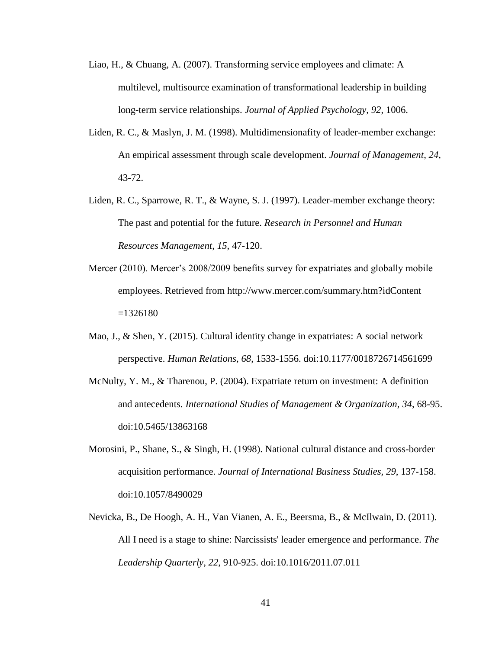- Liao, H., & Chuang, A. (2007). Transforming service employees and climate: A multilevel, multisource examination of transformational leadership in building long-term service relationships. *Journal of Applied Psychology*, *92*, 1006.
- Liden, R. C., & Maslyn, J. M. (1998). Multidimensionafity of leader-member exchange: An empirical assessment through scale development. *Journal of Management*, *24*, 43-72.
- Liden, R. C., Sparrowe, R. T., & Wayne, S. J. (1997). Leader-member exchange theory: The past and potential for the future. *Research in Personnel and Human Resources Management*, *15*, 47-120.
- Mercer (2010). Mercer's 2008/2009 benefits survey for expatriates and globally mobile employees. Retrieved from http://www.mercer.com/summary.htm?idContent  $=1326180$
- Mao, J., & Shen, Y. (2015). Cultural identity change in expatriates: A social network perspective. *Human Relations*, *68*, 1533-1556. doi:10.1177/0018726714561699
- McNulty, Y. M., & Tharenou, P. (2004). Expatriate return on investment: A definition and antecedents. *International Studies of Management & Organization*, *34*, 68-95. doi:10.5465/13863168
- Morosini, P., Shane, S., & Singh, H. (1998). National cultural distance and cross-border acquisition performance. *Journal of International Business Studies, 29*, 137-158. doi:10.1057/8490029
- Nevicka, B., De Hoogh, A. H., Van Vianen, A. E., Beersma, B., & McIlwain, D. (2011). All I need is a stage to shine: Narcissists' leader emergence and performance. *The Leadership Quarterly*, *22*, 910-925. doi:10.1016/2011.07.011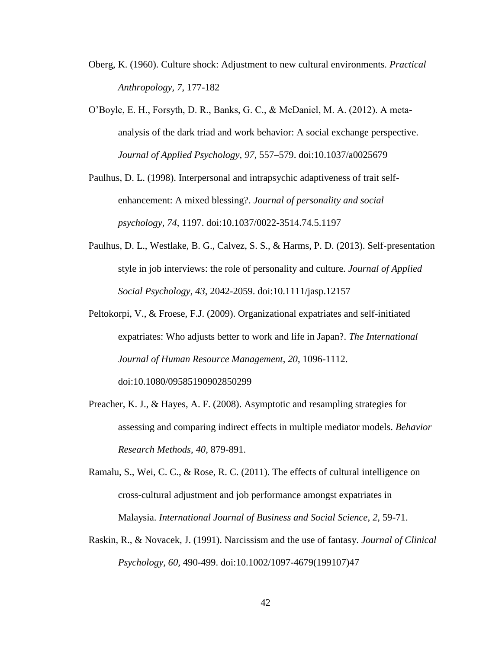- Oberg, K. (1960). Culture shock: Adjustment to new cultural environments. *Practical Anthropology, 7*, 177-182
- O'Boyle, E. H., Forsyth, D. R., Banks, G. C., & McDaniel, M. A. (2012). A metaanalysis of the dark triad and work behavior: A social exchange perspective. *Journal of Applied Psychology, 97*, 557–579. doi:10.1037/a0025679
- Paulhus, D. L. (1998). Interpersonal and intrapsychic adaptiveness of trait selfenhancement: A mixed blessing?. *Journal of personality and social psychology*, *74*, 1197. doi:10.1037/0022-3514.74.5.1197
- Paulhus, D. L., Westlake, B. G., Calvez, S. S., & Harms, P. D. (2013). Self‐presentation style in job interviews: the role of personality and culture. *Journal of Applied Social Psychology*, *43*, 2042-2059. doi:10.1111/jasp.12157
- Peltokorpi, V., & Froese, F.J. (2009). Organizational expatriates and self-initiated expatriates: Who adjusts better to work and life in Japan?. *The International Journal of Human Resource Management*, *20*, 1096-1112. doi:10.1080/09585190902850299
- Preacher, K. J., & Hayes, A. F. (2008). Asymptotic and resampling strategies for assessing and comparing indirect effects in multiple mediator models. *Behavior Research Methods*, *40*, 879-891.
- Ramalu, S., Wei, C. C., & Rose, R. C. (2011). The effects of cultural intelligence on cross-cultural adjustment and job performance amongst expatriates in Malaysia. *International Journal of Business and Social Science*, *2*, 59-71.
- Raskin, R., & Novacek, J. (1991). Narcissism and the use of fantasy. *Journal of Clinical Psychology, 60,* 490-499. doi:10.1002/1097-4679(199107)47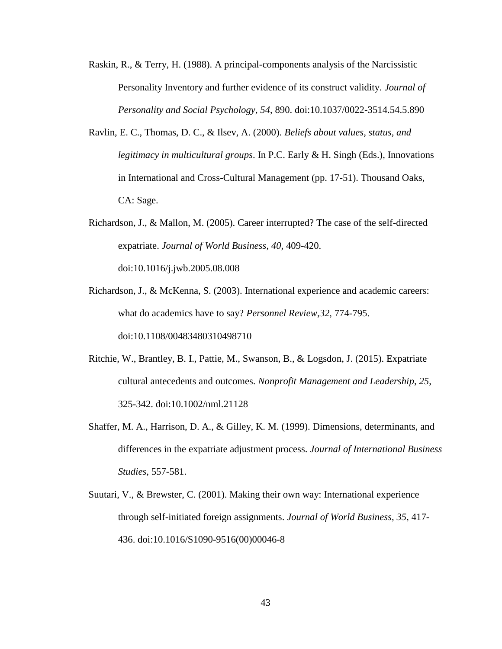- Raskin, R., & Terry, H. (1988). A principal-components analysis of the Narcissistic Personality Inventory and further evidence of its construct validity. *Journal of Personality and Social Psychology*, *54*, 890. doi:10.1037/0022-3514.54.5.890
- Ravlin, E. C., Thomas, D. C., & Ilsev, A. (2000). *Beliefs about values, status, and legitimacy in multicultural groups*. In P.C. Early & H. Singh (Eds.), Innovations in International and Cross-Cultural Management (pp. 17-51). Thousand Oaks, CA: Sage.
- Richardson, J., & Mallon, M. (2005). Career interrupted? The case of the self-directed expatriate. *Journal of World Business*, *40*, 409-420. doi:10.1016/j.jwb.2005.08.008
- Richardson, J., & McKenna, S. (2003). International experience and academic careers: what do academics have to say? *Personnel Review*,*32*, 774-795. doi:10.1108/00483480310498710
- Ritchie, W., Brantley, B. I., Pattie, M., Swanson, B., & Logsdon, J. (2015). Expatriate cultural antecedents and outcomes. *Nonprofit Management and Leadership*, *25*, 325-342. doi:10.1002/nml.21128
- Shaffer, M. A., Harrison, D. A., & Gilley, K. M. (1999). Dimensions, determinants, and differences in the expatriate adjustment process. *Journal of International Business Studies*, 557-581.
- Suutari, V., & Brewster, C. (2001). Making their own way: International experience through self-initiated foreign assignments. *Journal of World Business*, *35*, 417- 436. doi:10.1016/S1090-9516(00)00046-8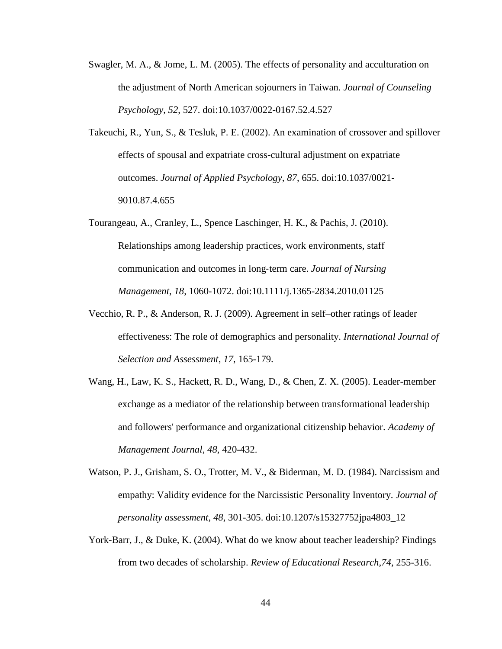- Swagler, M. A., & Jome, L. M. (2005). The effects of personality and acculturation on the adjustment of North American sojourners in Taiwan. *Journal of Counseling Psychology*, *52*, 527. doi:10.1037/0022-0167.52.4.527
- Takeuchi, R., Yun, S., & Tesluk, P. E. (2002). An examination of crossover and spillover effects of spousal and expatriate cross-cultural adjustment on expatriate outcomes. *Journal of Applied Psychology*, *87*, 655. doi:10.1037/0021- 9010.87.4.655
- Tourangeau, A., Cranley, L., Spence Laschinger, H. K., & Pachis, J. (2010). Relationships among leadership practices, work environments, staff communication and outcomes in long‐term care. *Journal of Nursing Management*, *18*, 1060-1072. doi:10.1111/j.1365-2834.2010.01125
- Vecchio, R. P., & Anderson, R. J. (2009). Agreement in self–other ratings of leader effectiveness: The role of demographics and personality. *International Journal of Selection and Assessment*, *17*, 165-179.
- Wang, H., Law, K. S., Hackett, R. D., Wang, D., & Chen, Z. X. (2005). Leader-member exchange as a mediator of the relationship between transformational leadership and followers' performance and organizational citizenship behavior. *Academy of Management Journal*, *48*, 420-432.
- Watson, P. J., Grisham, S. O., Trotter, M. V., & Biderman, M. D. (1984). Narcissism and empathy: Validity evidence for the Narcissistic Personality Inventory. *Journal of personality assessment*, *48*, 301-305. doi:10.1207/s15327752jpa4803\_12
- York-Barr, J., & Duke, K. (2004). What do we know about teacher leadership? Findings from two decades of scholarship. *Review of Educational Research*,*74*, 255-316.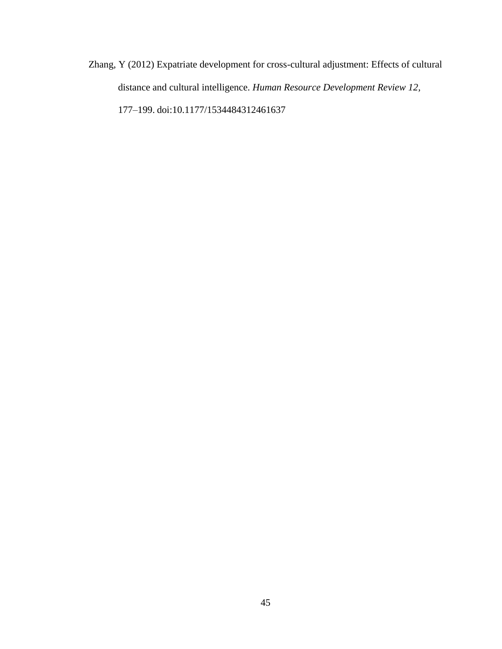Zhang, Y (2012) Expatriate development for cross-cultural adjustment: Effects of cultural distance and cultural intelligence. *Human Resource Development Review 12,* 177–199. doi:10.1177/1534484312461637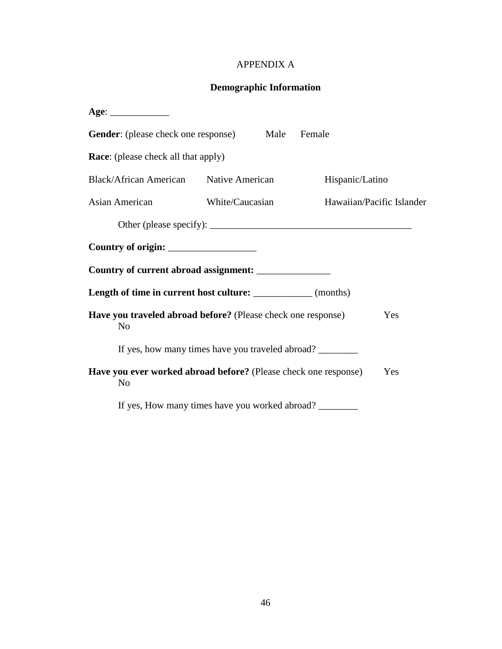# APPENDIX A

# **Demographic Information**

| <b>Gender:</b> (please check one response) Male                                   |                                                  | Female          |                           |
|-----------------------------------------------------------------------------------|--------------------------------------------------|-----------------|---------------------------|
| <b>Race:</b> (please check all that apply)                                        |                                                  |                 |                           |
| Black/African American Native American                                            |                                                  | Hispanic/Latino |                           |
| Asian American                                                                    | White/Caucasian                                  |                 | Hawaiian/Pacific Islander |
|                                                                                   |                                                  |                 |                           |
|                                                                                   |                                                  |                 |                           |
| Country of current abroad assignment: ________________                            |                                                  |                 |                           |
| Length of time in current host culture: ____________ (months)                     |                                                  |                 |                           |
| Have you traveled abroad before? (Please check one response)<br>N <sub>o</sub>    |                                                  |                 | Yes                       |
|                                                                                   | If yes, how many times have you traveled abroad? |                 |                           |
| Have you ever worked abroad before? (Please check one response)<br>N <sub>o</sub> |                                                  |                 | Yes                       |
|                                                                                   | If yes, How many times have you worked abroad?   |                 |                           |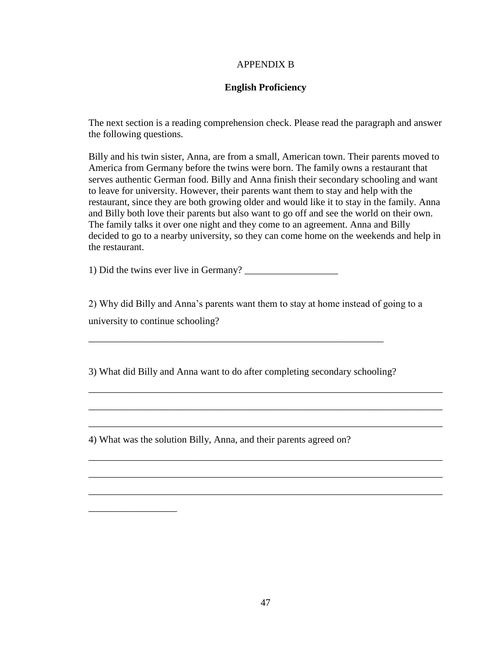### APPENDIX B

# **English Proficiency**

The next section is a reading comprehension check. Please read the paragraph and answer the following questions.

Billy and his twin sister, Anna, are from a small, American town. Their parents moved to America from Germany before the twins were born. The family owns a restaurant that serves authentic German food. Billy and Anna finish their secondary schooling and want to leave for university. However, their parents want them to stay and help with the restaurant, since they are both growing older and would like it to stay in the family. Anna and Billy both love their parents but also want to go off and see the world on their own. The family talks it over one night and they come to an agreement. Anna and Billy decided to go to a nearby university, so they can come home on the weekends and help in the restaurant.

1) Did the twins ever live in Germany?

2) Why did Billy and Anna's parents want them to stay at home instead of going to a university to continue schooling?

\_\_\_\_\_\_\_\_\_\_\_\_\_\_\_\_\_\_\_\_\_\_\_\_\_\_\_\_\_\_\_\_\_\_\_\_\_\_\_\_\_\_\_\_\_\_\_\_\_\_\_\_\_\_\_\_\_\_\_\_\_\_\_\_\_\_\_\_\_\_\_\_

\_\_\_\_\_\_\_\_\_\_\_\_\_\_\_\_\_\_\_\_\_\_\_\_\_\_\_\_\_\_\_\_\_\_\_\_\_\_\_\_\_\_\_\_\_\_\_\_\_\_\_\_\_\_\_\_\_\_\_\_\_\_\_\_\_\_\_\_\_\_\_\_

\_\_\_\_\_\_\_\_\_\_\_\_\_\_\_\_\_\_\_\_\_\_\_\_\_\_\_\_\_\_\_\_\_\_\_\_\_\_\_\_\_\_\_\_\_\_\_\_\_\_\_\_\_\_\_\_\_\_\_\_\_\_\_\_\_\_\_\_\_\_\_\_

\_\_\_\_\_\_\_\_\_\_\_\_\_\_\_\_\_\_\_\_\_\_\_\_\_\_\_\_\_\_\_\_\_\_\_\_\_\_\_\_\_\_\_\_\_\_\_\_\_\_\_\_\_\_\_\_\_\_\_\_\_\_\_\_\_\_\_\_\_\_\_\_

\_\_\_\_\_\_\_\_\_\_\_\_\_\_\_\_\_\_\_\_\_\_\_\_\_\_\_\_\_\_\_\_\_\_\_\_\_\_\_\_\_\_\_\_\_\_\_\_\_\_\_\_\_\_\_\_\_\_\_\_\_\_\_\_\_\_\_\_\_\_\_\_

\_\_\_\_\_\_\_\_\_\_\_\_\_\_\_\_\_\_\_\_\_\_\_\_\_\_\_\_\_\_\_\_\_\_\_\_\_\_\_\_\_\_\_\_\_\_\_\_\_\_\_\_\_\_\_\_\_\_\_\_\_\_\_\_\_\_\_\_\_\_\_\_

3) What did Billy and Anna want to do after completing secondary schooling?

\_\_\_\_\_\_\_\_\_\_\_\_\_\_\_\_\_\_\_\_\_\_\_\_\_\_\_\_\_\_\_\_\_\_\_\_\_\_\_\_\_\_\_\_\_\_\_\_\_\_\_\_\_\_\_\_\_\_\_\_

4) What was the solution Billy, Anna, and their parents agreed on?

\_\_\_\_\_\_\_\_\_\_\_\_\_\_\_\_\_\_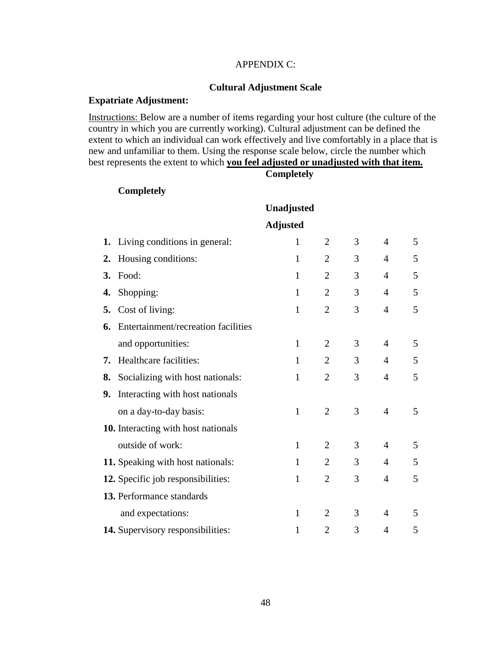# APPENDIX C:

### **Cultural Adjustment Scale**

### **Expatriate Adjustment:**

Instructions: Below are a number of items regarding your host culture (the culture of the country in which you are currently working). Cultural adjustment can be defined the extent to which an individual can work effectively and live comfortably in a place that is new and unfamiliar to them. Using the response scale below, circle the number which best represents the extent to which **you feel adjusted or unadjusted with that item. Completely**

# **Completely**

|    |                                     | Unadjusted      |                |   |                |   |
|----|-------------------------------------|-----------------|----------------|---|----------------|---|
|    |                                     | <b>Adjusted</b> |                |   |                |   |
|    | 1. Living conditions in general:    | $\mathbf{1}$    | $\overline{2}$ | 3 | $\overline{4}$ | 5 |
| 2. | Housing conditions:                 | $\mathbf{1}$    | $\overline{2}$ | 3 | $\overline{4}$ | 5 |
| 3. | Food:                               | $\mathbf{1}$    | $\overline{2}$ | 3 | 4              | 5 |
| 4. | Shopping:                           | 1               | $\overline{2}$ | 3 | $\overline{4}$ | 5 |
| 5. | Cost of living:                     | $\mathbf{1}$    | $\overline{2}$ | 3 | $\overline{4}$ | 5 |
| 6. | Entertainment/recreation facilities |                 |                |   |                |   |
|    | and opportunities:                  | $\mathbf{1}$    | $\overline{2}$ | 3 | $\overline{4}$ | 5 |
| 7. | Healthcare facilities:              | $\mathbf{1}$    | 2              | 3 | $\overline{4}$ | 5 |
| 8. | Socializing with host nationals:    | $\mathbf{1}$    | $\overline{2}$ | 3 | $\overline{4}$ | 5 |
| 9. | Interacting with host nationals     |                 |                |   |                |   |
|    | on a day-to-day basis:              | $\mathbf{1}$    | $\overline{2}$ | 3 | $\overline{4}$ | 5 |
|    | 10. Interacting with host nationals |                 |                |   |                |   |
|    | outside of work:                    | $\mathbf{1}$    | $\overline{2}$ | 3 | $\overline{4}$ | 5 |
|    | 11. Speaking with host nationals:   | 1               | $\overline{2}$ | 3 | $\overline{4}$ | 5 |
|    | 12. Specific job responsibilities:  | $\mathbf{1}$    | $\overline{2}$ | 3 | $\overline{4}$ | 5 |
|    | 13. Performance standards           |                 |                |   |                |   |
|    | and expectations:                   | $\mathbf{1}$    | $\overline{2}$ | 3 | $\overline{4}$ | 5 |
|    | 14. Supervisory responsibilities:   | $\mathbf{1}$    | 2              | 3 | 4              | 5 |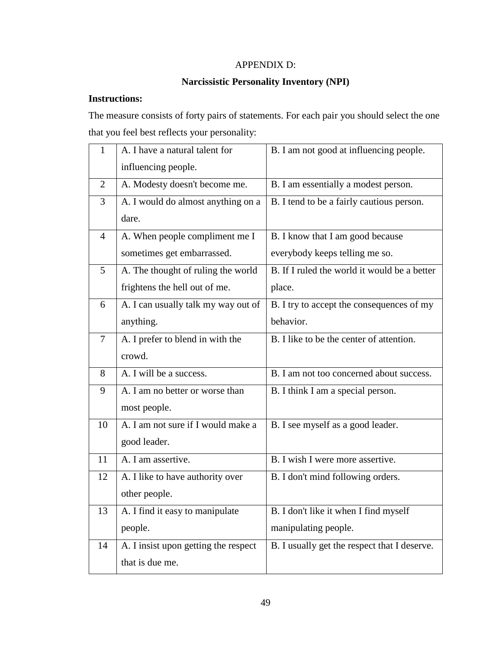# APPENDIX D:

# **Narcissistic Personality Inventory (NPI)**

# **Instructions:**

The measure consists of forty pairs of statements. For each pair you should select the one that you feel best reflects your personality:

| $\mathbf{1}$   | A. I have a natural talent for       | B. I am not good at influencing people.      |
|----------------|--------------------------------------|----------------------------------------------|
|                | influencing people.                  |                                              |
| $\overline{2}$ | A. Modesty doesn't become me.        | B. I am essentially a modest person.         |
| 3              | A. I would do almost anything on a   | B. I tend to be a fairly cautious person.    |
|                | dare.                                |                                              |
| $\overline{4}$ | A. When people compliment me I       | B. I know that I am good because             |
|                | sometimes get embarrassed.           | everybody keeps telling me so.               |
| 5              | A. The thought of ruling the world   | B. If I ruled the world it would be a better |
|                | frightens the hell out of me.        | place.                                       |
| 6              | A. I can usually talk my way out of  | B. I try to accept the consequences of my    |
|                | anything.                            | behavior.                                    |
| $\overline{7}$ | A. I prefer to blend in with the     | B. I like to be the center of attention.     |
|                | crowd.                               |                                              |
| 8              | A. I will be a success.              | B. I am not too concerned about success.     |
| 9              | A. I am no better or worse than      | B. I think I am a special person.            |
|                | most people.                         |                                              |
| 10             | A. I am not sure if I would make a   | B. I see myself as a good leader.            |
|                | good leader.                         |                                              |
| 11             | A. I am assertive.                   | B. I wish I were more assertive.             |
| 12             | A. I like to have authority over     | B. I don't mind following orders.            |
|                | other people.                        |                                              |
| 13             | A. I find it easy to manipulate      | B. I don't like it when I find myself        |
|                | people.                              | manipulating people.                         |
| 14             | A. I insist upon getting the respect | B. I usually get the respect that I deserve. |
|                | that is due me.                      |                                              |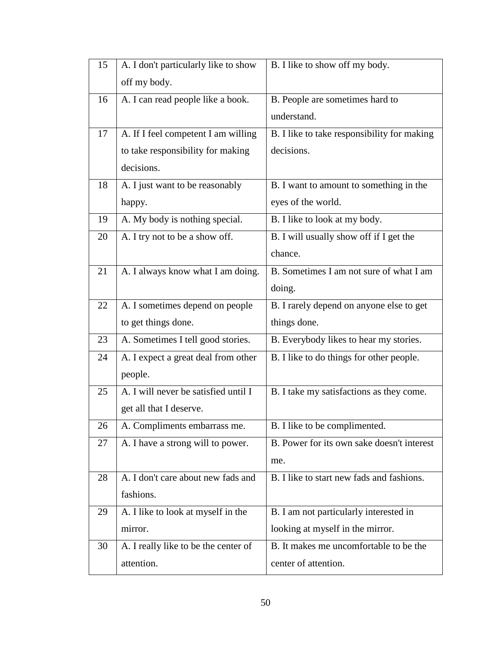| 15 | A. I don't particularly like to show | B. I like to show off my body.              |
|----|--------------------------------------|---------------------------------------------|
|    | off my body.                         |                                             |
| 16 | A. I can read people like a book.    | B. People are sometimes hard to             |
|    |                                      | understand.                                 |
| 17 | A. If I feel competent I am willing  | B. I like to take responsibility for making |
|    | to take responsibility for making    | decisions.                                  |
|    | decisions.                           |                                             |
| 18 | A. I just want to be reasonably      | B. I want to amount to something in the     |
|    | happy.                               | eyes of the world.                          |
| 19 | A. My body is nothing special.       | B. I like to look at my body.               |
| 20 | A. I try not to be a show off.       | B. I will usually show off if I get the     |
|    |                                      | chance.                                     |
| 21 | A. I always know what I am doing.    | B. Sometimes I am not sure of what I am     |
|    |                                      | doing.                                      |
| 22 | A. I sometimes depend on people      | B. I rarely depend on anyone else to get    |
|    | to get things done.                  | things done.                                |
| 23 | A. Sometimes I tell good stories.    | B. Everybody likes to hear my stories.      |
| 24 | A. I expect a great deal from other  | B. I like to do things for other people.    |
|    | people.                              |                                             |
| 25 | A. I will never be satisfied until I | B. I take my satisfactions as they come.    |
|    | get all that I deserve.              |                                             |
| 26 | A. Compliments embarrass me.         | B. I like to be complimented.               |
| 27 | A. I have a strong will to power.    | B. Power for its own sake doesn't interest  |
|    |                                      | me.                                         |
| 28 | A. I don't care about new fads and   | B. I like to start new fads and fashions.   |
|    | fashions.                            |                                             |
| 29 | A. I like to look at myself in the   | B. I am not particularly interested in      |
|    | mirror.                              | looking at myself in the mirror.            |
| 30 | A. I really like to be the center of | B. It makes me uncomfortable to be the      |
|    | attention.                           | center of attention.                        |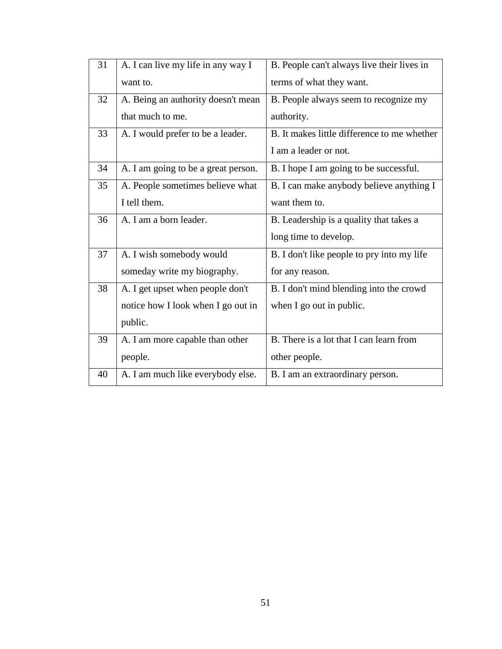| 31 | A. I can live my life in any way I  | B. People can't always live their lives in  |
|----|-------------------------------------|---------------------------------------------|
|    | want to.                            | terms of what they want.                    |
| 32 | A. Being an authority doesn't mean  | B. People always seem to recognize my       |
|    | that much to me.                    | authority.                                  |
| 33 | A. I would prefer to be a leader.   | B. It makes little difference to me whether |
|    |                                     | I am a leader or not.                       |
| 34 | A. I am going to be a great person. | B. I hope I am going to be successful.      |
| 35 | A. People sometimes believe what    | B. I can make anybody believe anything I    |
|    | I tell them.                        | want them to.                               |
| 36 | A. I am a born leader.              | B. Leadership is a quality that takes a     |
|    |                                     | long time to develop.                       |
| 37 | A. I wish somebody would            | B. I don't like people to pry into my life  |
|    | someday write my biography.         | for any reason.                             |
| 38 | A. I get upset when people don't    | B. I don't mind blending into the crowd     |
|    | notice how I look when I go out in  | when I go out in public.                    |
|    | public.                             |                                             |
| 39 | A. I am more capable than other     | B. There is a lot that I can learn from     |
|    | people.                             | other people.                               |
| 40 | A. I am much like everybody else.   | B. I am an extraordinary person.            |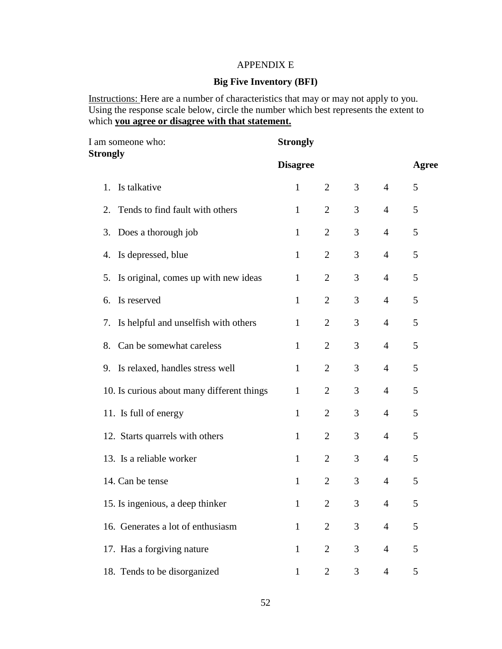# APPENDIX E

# **Big Five Inventory (BFI)**

Instructions: Here are a number of characteristics that may or may not apply to you. Using the response scale below, circle the number which best represents the extent to which **you agree or disagree with that statement.**

| I am someone who:<br><b>Strongly</b> |                                            | <b>Strongly</b> |                |   |                |       |
|--------------------------------------|--------------------------------------------|-----------------|----------------|---|----------------|-------|
|                                      |                                            | <b>Disagree</b> |                |   |                | Agree |
| 1.                                   | Is talkative                               | $\mathbf{1}$    | $\overline{2}$ | 3 | $\overline{4}$ | 5     |
| 2.                                   | Tends to find fault with others            | $\mathbf{1}$    | $\overline{2}$ | 3 | $\overline{4}$ | 5     |
|                                      | 3. Does a thorough job                     | $\mathbf{1}$    | $\overline{2}$ | 3 | $\overline{4}$ | 5     |
| 4.                                   | Is depressed, blue                         | $\mathbf{1}$    | $\overline{2}$ | 3 | $\overline{4}$ | 5     |
| 5.                                   | Is original, comes up with new ideas       | $\mathbf{1}$    | $\overline{2}$ | 3 | $\overline{4}$ | 5     |
| 6.                                   | Is reserved                                | $\mathbf{1}$    | $\overline{2}$ | 3 | $\overline{4}$ | 5     |
| 7.                                   | Is helpful and unselfish with others       | $\mathbf{1}$    | $\overline{2}$ | 3 | $\overline{4}$ | 5     |
| 8.                                   | Can be somewhat careless                   | $\mathbf{1}$    | $\overline{2}$ | 3 | $\overline{4}$ | 5     |
|                                      | 9. Is relaxed, handles stress well         | 1               | 2              | 3 | $\overline{4}$ | 5     |
|                                      | 10. Is curious about many different things | $\mathbf{1}$    | $\overline{2}$ | 3 | $\overline{4}$ | 5     |
|                                      | 11. Is full of energy                      | $\mathbf{1}$    | $\overline{2}$ | 3 | $\overline{4}$ | 5     |
|                                      | 12. Starts quarrels with others            | $\mathbf{1}$    | $\overline{2}$ | 3 | $\overline{4}$ | 5     |
|                                      | 13. Is a reliable worker                   | $\mathbf{1}$    | 2              | 3 | $\overline{4}$ | 5     |
|                                      | 14. Can be tense                           | $\mathbf{1}$    | $\overline{2}$ | 3 | $\overline{4}$ | 5     |
|                                      | 15. Is ingenious, a deep thinker           | $\mathbf{1}$    | $\overline{2}$ | 3 | 4              | 5     |
|                                      | 16. Generates a lot of enthusiasm          | $\mathbf{1}$    | $\overline{2}$ | 3 | $\overline{4}$ | 5     |
|                                      | 17. Has a forgiving nature                 | $\mathbf{1}$    | $\overline{2}$ | 3 | $\overline{4}$ | 5     |
|                                      | 18. Tends to be disorganized               | $\mathbf{1}$    | $\overline{2}$ | 3 | $\overline{4}$ | 5     |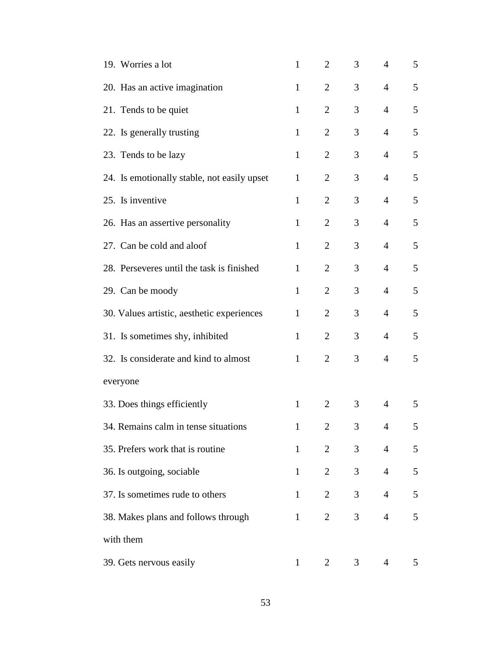| 19. Worries a lot                           | $\mathbf{1}$ | 2              | 3 | $\overline{4}$ | 5              |
|---------------------------------------------|--------------|----------------|---|----------------|----------------|
| 20. Has an active imagination               | $\mathbf{1}$ | $\overline{2}$ | 3 | $\overline{4}$ | 5              |
| 21. Tends to be quiet                       | $\mathbf{1}$ | $\overline{2}$ | 3 | $\overline{4}$ | 5              |
| 22. Is generally trusting                   | $\mathbf{1}$ | $\overline{2}$ | 3 | $\overline{4}$ | 5              |
| 23. Tends to be lazy                        | $\mathbf{1}$ | $\overline{2}$ | 3 | $\overline{4}$ | 5              |
| 24. Is emotionally stable, not easily upset | $\mathbf{1}$ | $\overline{2}$ | 3 | $\overline{4}$ | 5              |
| 25. Is inventive                            | $\mathbf{1}$ | $\overline{2}$ | 3 | $\overline{4}$ | 5              |
| 26. Has an assertive personality            | $\mathbf{1}$ | $\overline{2}$ | 3 | $\overline{4}$ | 5              |
| 27. Can be cold and aloof                   | $\mathbf{1}$ | $\overline{2}$ | 3 | $\overline{4}$ | 5              |
| 28. Perseveres until the task is finished   | $\mathbf{1}$ | 2              | 3 | $\overline{4}$ | 5              |
| 29. Can be moody                            | $\mathbf{1}$ | $\overline{2}$ | 3 | 4              | 5              |
| 30. Values artistic, aesthetic experiences  | $\mathbf{1}$ | $\overline{2}$ | 3 | $\overline{4}$ | 5              |
| 31. Is sometimes shy, inhibited             | $\mathbf{1}$ | $\overline{2}$ | 3 | $\overline{4}$ | 5              |
| 32. Is considerate and kind to almost       | $\mathbf{1}$ | $\overline{2}$ | 3 | $\overline{4}$ | 5              |
| everyone                                    |              |                |   |                |                |
| 33. Does things efficiently                 | $\mathbf{1}$ | 2              | 3 | $\overline{4}$ | 5              |
| 34. Remains calm in tense situations        | $\mathbf{1}$ | 2              | 3 | 4              | $\mathcal{L}$  |
| 35. Prefers work that is routine            | $\mathbf{1}$ | $\overline{2}$ | 3 | $\overline{4}$ | $\mathfrak s$  |
| 36. Is outgoing, sociable                   | $\mathbf{1}$ | $\overline{2}$ | 3 | $\overline{4}$ | $\mathfrak{S}$ |
| 37. Is sometimes rude to others             | $\mathbf{1}$ | $\overline{2}$ | 3 | $\overline{4}$ | $\sqrt{5}$     |
| 38. Makes plans and follows through         | $\mathbf{1}$ | $\overline{2}$ | 3 | $\overline{4}$ | $\mathfrak{S}$ |
| with them                                   |              |                |   |                |                |
| 39. Gets nervous easily                     | $\mathbf{1}$ | 2              | 3 | $\overline{4}$ | 5              |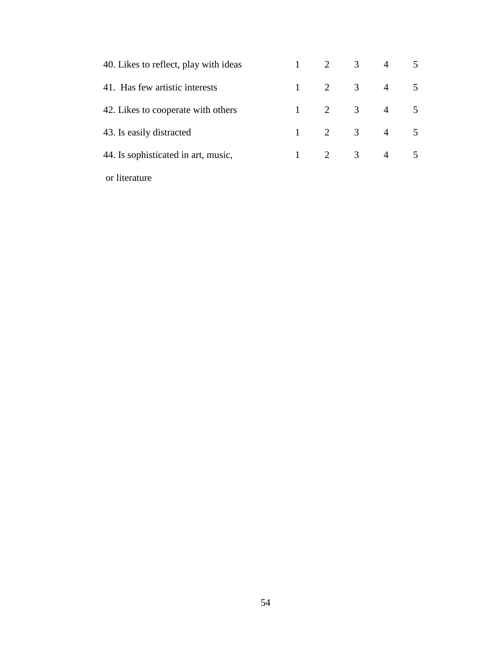| 40. Likes to reflect, play with ideas |              |                | $\mathfrak{Z}$          | $\overline{4}$ | 5              |
|---------------------------------------|--------------|----------------|-------------------------|----------------|----------------|
| 41. Has few artistic interests        |              | 2              | 3                       | $\overline{4}$ | 5              |
| 42. Likes to cooperate with others    |              | $\overline{2}$ | $\overline{3}$          | $\overline{4}$ | 5              |
| 43. Is easily distracted              |              | 2              | $\overline{\mathbf{3}}$ | $\overline{4}$ | 5              |
| 44. Is sophisticated in art, music,   | $\mathbf{1}$ | 2              | 3                       | $\overline{4}$ | $\overline{5}$ |
| or literature                         |              |                |                         |                |                |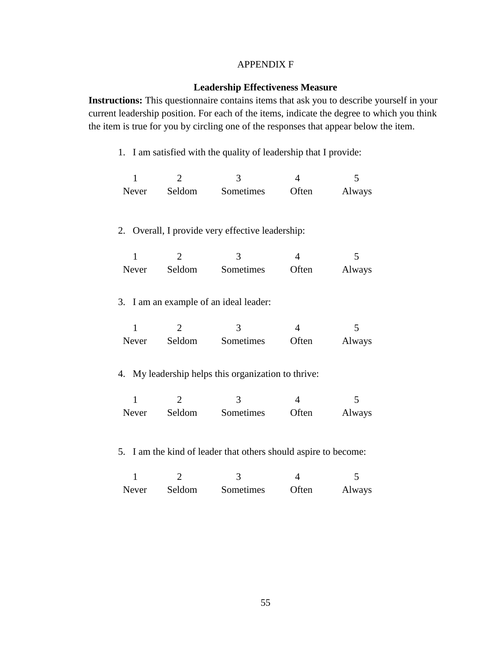### APPENDIX F

# **Leadership Effectiveness Measure**

**Instructions:** This questionnaire contains items that ask you to describe yourself in your current leadership position. For each of the items, indicate the degree to which you think the item is true for you by circling one of the responses that appear below the item.

1. I am satisfied with the quality of leadership that I provide:

| Never | Seldom | Sometimes | Often | Always |
|-------|--------|-----------|-------|--------|

# 2. Overall, I provide very effective leadership:

| Never | Seldom | Sometimes | Often | Always |
|-------|--------|-----------|-------|--------|

3. I am an example of an ideal leader:

| Never | Seldom | Sometimes | Often | Always |
|-------|--------|-----------|-------|--------|

#### 4. My leadership helps this organization to thrive:

| Never | Seldom | Sometimes | Often | Always |
|-------|--------|-----------|-------|--------|

5. I am the kind of leader that others should aspire to become:

| Never | Seldom | Sometimes | Often | Always |
|-------|--------|-----------|-------|--------|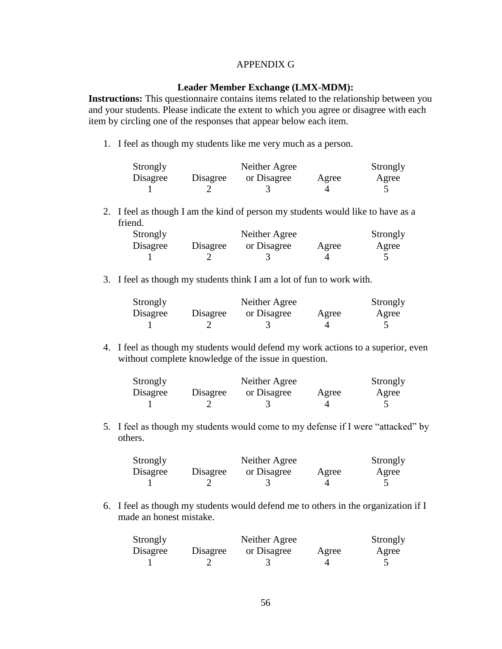### APPENDIX G

### **Leader Member Exchange (LMX-MDM):**

**Instructions:** This questionnaire contains items related to the relationship between you and your students. Please indicate the extent to which you agree or disagree with each item by circling one of the responses that appear below each item.

1. I feel as though my students like me very much as a person.

| Strongly |          | Neither Agree |       | Strongly |
|----------|----------|---------------|-------|----------|
| Disagree | Disagree | or Disagree   | Agree | Agree    |
|          |          |               |       |          |

2. I feel as though I am the kind of person my students would like to have as a friend.

| Strongly |          | Neither Agree |       | Strongly |
|----------|----------|---------------|-------|----------|
| Disagree | Disagree | or Disagree   | Agree | Agree    |
|          |          |               |       |          |

3. I feel as though my students think I am a lot of fun to work with.

| Strongly |          | Neither Agree |       | Strongly |
|----------|----------|---------------|-------|----------|
| Disagree | Disagree | or Disagree   | Agree | Agree    |
|          |          |               |       |          |

4. I feel as though my students would defend my work actions to a superior, even without complete knowledge of the issue in question.

| Strongly |          | Neither Agree |       | Strongly |
|----------|----------|---------------|-------|----------|
| Disagree | Disagree | or Disagree   | Agree | Agree    |
|          |          |               |       |          |

5. I feel as though my students would come to my defense if I were "attacked" by others.

| Strongly |          | Neither Agree |       | Strongly |
|----------|----------|---------------|-------|----------|
| Disagree | Disagree | or Disagree   | Agree | Agree    |
|          |          |               |       |          |

6. I feel as though my students would defend me to others in the organization if I made an honest mistake.

| Strongly |          | Neither Agree |       | Strongly |
|----------|----------|---------------|-------|----------|
| Disagree | Disagree | or Disagree   | Agree | Agree    |
|          |          |               |       |          |